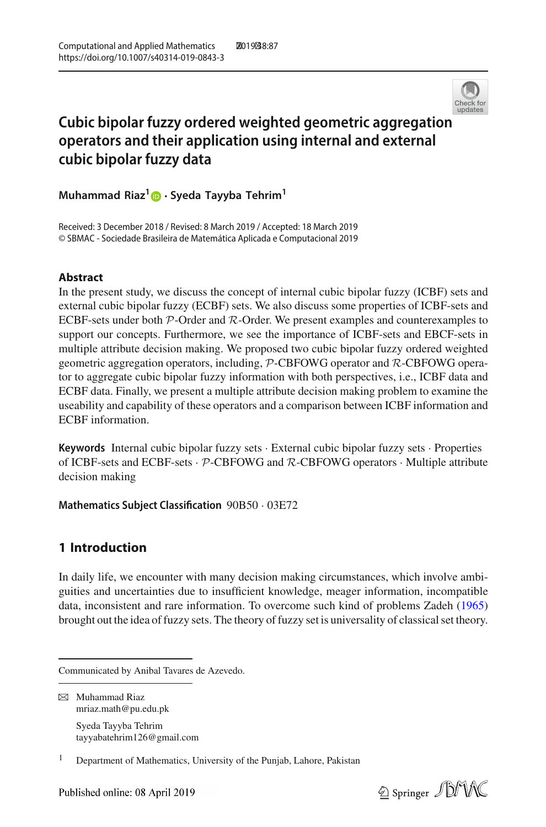

# **Cubic bipolar fuzzy ordered weighted geometric aggregatio[n](http://crossmark.crossref.org/dialog/?doi=10.1007/s40314-019-0843-3&domain=pdf) operators and their application using internal and external cubic bipolar fuzzy data**

**Muhammad Riaz[1](http://orcid.org/0000-0001-8115-9168) · Syeda Tayyba Tehrim1**

Received: 3 December 2018 / Revised: 8 March 2019 / Accepted: 18 March 2019 © SBMAC - Sociedade Brasileira de Matemática Aplicada e Computacional 2019

### **Abstract**

In the present study, we discuss the concept of internal cubic bipolar fuzzy (ICBF) sets and external cubic bipolar fuzzy (ECBF) sets. We also discuss some properties of ICBF-sets and ECBF-sets under both *P*-Order and *R*-Order. We present examples and counterexamples to support our concepts. Furthermore, we see the importance of ICBF-sets and EBCF-sets in multiple attribute decision making. We proposed two cubic bipolar fuzzy ordered weighted geometric aggregation operators, including, *P*-CBFOWG operator and *R*-CBFOWG operator to aggregate cubic bipolar fuzzy information with both perspectives, i.e., ICBF data and ECBF data. Finally, we present a multiple attribute decision making problem to examine the useability and capability of these operators and a comparison between ICBF information and ECBF information.

**Keywords** Internal cubic bipolar fuzzy sets · External cubic bipolar fuzzy sets · Properties of ICBF-sets and ECBF-sets · *P*-CBFOWG and *R*-CBFOWG operators · Multiple attribute decision making

**Mathematics Subject Classification** 90B50 · 03E72

## **1 Introduction**

In daily life, we encounter with many decision making circumstances, which involve ambiguities and uncertainties due to insufficient knowledge, meager information, incompatible data, inconsistent and rare information. To overcome such kind of problems Zade[h](#page-24-0) [\(1965\)](#page-24-0) brought out the idea of fuzzy sets. The theory of fuzzy set is universality of classical set theory.

Syeda Tayyba Tehrim tayyabatehrim126@gmail.com



Communicated by Anibal Tavares de Azevedo.

B Muhammad Riaz mriaz.math@pu.edu.pk

<sup>1</sup> Department of Mathematics, University of the Punjab, Lahore, Pakistan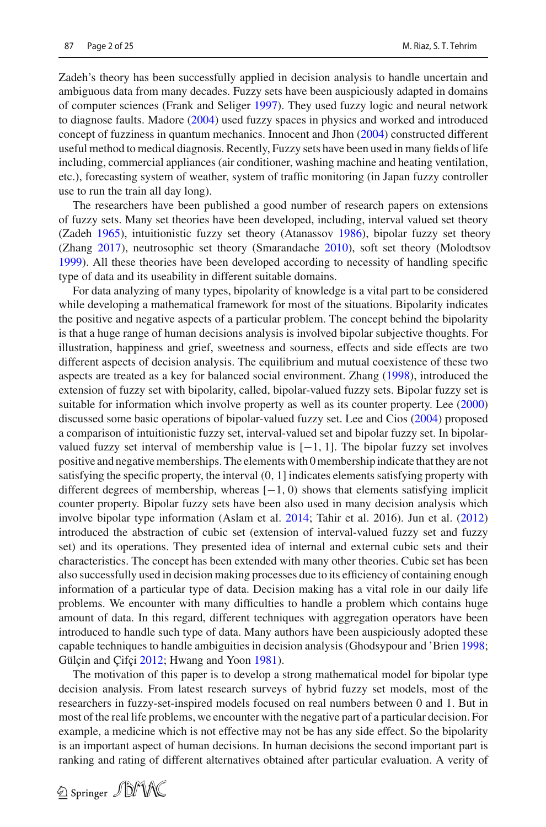Zadeh's theory has been successfully applied in decision analysis to handle uncertain and ambiguous data from many decades. Fuzzy sets have been auspiciously adapted in domains of computer sciences (Frank and Selige[r](#page-23-0) [1997](#page-23-0)). They used fuzzy logic and neural network to diagnose faults. Mador[e](#page-23-1) [\(2004\)](#page-23-1) used fuzzy spaces in physics and worked and introduced concept of fuzziness in quantum mechanics. Innocent and Jho[n](#page-23-2) [\(2004](#page-23-2)) constructed different useful method to medical diagnosis. Recently, Fuzzy sets have been used in many fields of life including, commercial appliances (air conditioner, washing machine and heating ventilation, etc.), forecasting system of weather, system of traffic monitoring (in Japan fuzzy controller use to run the train all day long).

The researchers have been published a good number of research papers on extensions of fuzzy sets. Many set theories have been developed, including, interval valued set theory (Zade[h](#page-24-0) [1965\)](#page-24-0), intuitionistic fuzzy set theory (Atanasso[v](#page-23-3) [1986](#page-23-3)), bipolar fuzzy set theory (Zhan[g](#page-23-4) [2017](#page-23-4)), neutrosophic set theory (Smarandach[e](#page-23-5) [2010](#page-23-5)), soft set theory (Molodtso[v](#page-23-6) [1999](#page-23-6)). All these theories have been developed according to necessity of handling specific type of data and its useability in different suitable domains.

For data analyzing of many types, bipolarity of knowledge is a vital part to be considered while developing a mathematical framework for most of the situations. Bipolarity indicates the positive and negative aspects of a particular problem. The concept behind the bipolarity is that a huge range of human decisions analysis is involved bipolar subjective thoughts. For illustration, happiness and grief, sweetness and sourness, effects and side effects are two different aspects of decision analysis. The equilibrium and mutual coexistence of these two aspects are treated as a key for balanced social environment. Zhan[g](#page-24-1) [\(1998](#page-24-1)), introduced the extension of fuzzy set with bipolarity, called, bipolar-valued fuzzy sets. Bipolar fuzzy set is suitable for information which involve property as well as its counter property. Le[e](#page-23-7) [\(2000\)](#page-23-7) discussed some basic operations of bipolar-valued fuzzy set. Lee and Cio[s](#page-23-8) [\(2004\)](#page-23-8) proposed a comparison of intuitionistic fuzzy set, interval-valued set and bipolar fuzzy set. In bipolarvalued fuzzy set interval of membership value is  $[-1, 1]$ . The bipolar fuzzy set involves positive and negative memberships. The elements with 0 membership indicate that they are not satisfying the specific property, the interval (0, 1] indicates elements satisfying property with different degrees of membership, whereas  $[-1, 0)$  shows that elements satisfying implicit counter property. Bipolar fuzzy sets have been also used in many decision analysis which involve bipolar type information (Aslam et al[.](#page-23-9) [2014;](#page-23-9) Tahir et al. 2016). Jun et al[.](#page-23-10) [\(2012\)](#page-23-10) introduced the abstraction of cubic set (extension of interval-valued fuzzy set and fuzzy set) and its operations. They presented idea of internal and external cubic sets and their characteristics. The concept has been extended with many other theories. Cubic set has been also successfully used in decision making processes due to its efficiency of containing enough information of a particular type of data. Decision making has a vital role in our daily life problems. We encounter with many difficulties to handle a problem which contains huge amount of data. In this regard, different techniques with aggregation operators have been introduced to handle such type of data. Many authors have been auspiciously adopted these capable techniques to handle ambiguities in decision analysis (Ghodsypour and 'Brie[n](#page-23-11) [1998](#page-23-11); Gülç[i](#page-23-12)n and Çifçi [2012;](#page-23-12) Hwa[n](#page-23-13)g and Yoon [1981\)](#page-23-13).

The motivation of this paper is to develop a strong mathematical model for bipolar type decision analysis. From latest research surveys of hybrid fuzzy set models, most of the researchers in fuzzy-set-inspired models focused on real numbers between 0 and 1. But in most of the real life problems, we encounter with the negative part of a particular decision. For example, a medicine which is not effective may not be has any side effect. So the bipolarity is an important aspect of human decisions. In human decisions the second important part is ranking and rating of different alternatives obtained after particular evaluation. A verity of

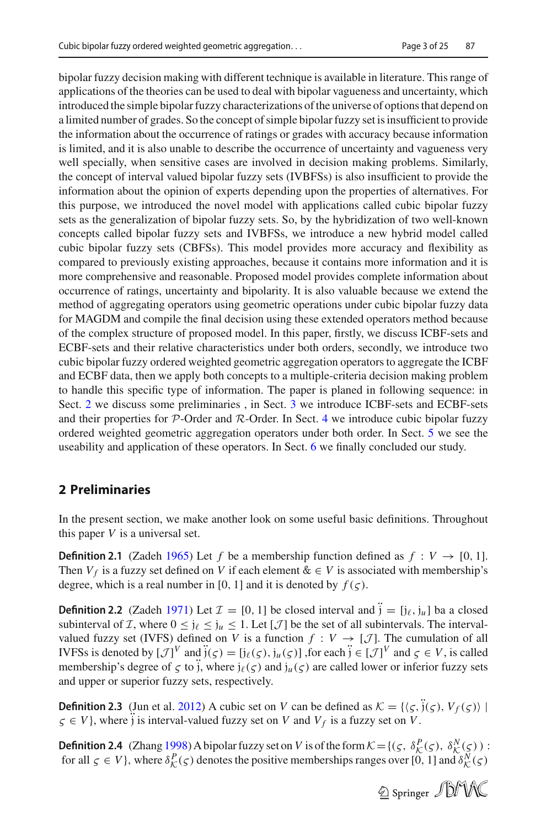bipolar fuzzy decision making with different technique is available in literature. This range of applications of the theories can be used to deal with bipolar vagueness and uncertainty, which introduced the simple bipolar fuzzy characterizations of the universe of options that depend on a limited number of grades. So the concept of simple bipolar fuzzy set is insufficient to provide the information about the occurrence of ratings or grades with accuracy because information is limited, and it is also unable to describe the occurrence of uncertainty and vagueness very well specially, when sensitive cases are involved in decision making problems. Similarly, the concept of interval valued bipolar fuzzy sets (IVBFSs) is also insufficient to provide the information about the opinion of experts depending upon the properties of alternatives. For this purpose, we introduced the novel model with applications called cubic bipolar fuzzy sets as the generalization of bipolar fuzzy sets. So, by the hybridization of two well-known concepts called bipolar fuzzy sets and IVBFSs, we introduce a new hybrid model called cubic bipolar fuzzy sets (CBFSs). This model provides more accuracy and flexibility as compared to previously existing approaches, because it contains more information and it is more comprehensive and reasonable. Proposed model provides complete information about occurrence of ratings, uncertainty and bipolarity. It is also valuable because we extend the method of aggregating operators using geometric operations under cubic bipolar fuzzy data for MAGDM and compile the final decision using these extended operators method because of the complex structure of proposed model. In this paper, firstly, we discuss ICBF-sets and ECBF-sets and their relative characteristics under both orders, secondly, we introduce two cubic bipolar fuzzy ordered weighted geometric aggregation operators to aggregate the ICBF and ECBF data, then we apply both concepts to a multiple-criteria decision making problem to handle this specific type of information. The paper is planed in following sequence: in Sect. [2](#page-2-0) we discuss some preliminaries , in Sect. [3](#page-8-0) we introduce ICBF-sets and ECBF-sets and their properties for *P*-Order and *R*-Order. In Sect. [4](#page-11-0) we introduce cubic bipolar fuzzy ordered weighted geometric aggregation operators under both order. In Sect. [5](#page-18-0) we see the useability and application of these operators. In Sect. [6](#page-22-0) we finally concluded our study.

## <span id="page-2-0"></span>**2 Preliminaries**

In the present section, we make another look on some useful basic definitions. Throughout this paper  $V$  is a universal set.

**Definition 2.1** (Zade[h](#page-24-0) [1965](#page-24-0)) Let f be a membership function defined as  $f: V \rightarrow [0, 1]$ . Then  $V_f$  is a fuzzy set defined on *V* if each element  $\& \in V$  is associated with membership's degree, which is a real number in [0, 1] and it is denoted by  $f(\varsigma)$ .

**Definition 2.2** (Zade[h](#page-24-2) [1971](#page-24-2)) Let  $\mathcal{I} = [0, 1]$  be closed interval and  $\ddot{j} = [j_\ell, j_\mu]$  ba a closed subinterval of *I*, where  $0 \le j_\ell \le j_u \le 1$ . Let [*J*] be the set of all subintervals. The intervalvalued fuzzy set (IVFS) defined on *V* is a function  $f: V \to [\mathcal{J}]$ . The cumulation of all IVFSs is denoted by  $[\mathcal{J}]^V$  and  $\ddot{j}(\zeta) = [j_\ell(\zeta), j_u(\zeta)]$  , for each  $\ddot{j} \in [\mathcal{J}]^V$  and  $\zeta \in V$ , is called membership's degree of  $\zeta$  to  $\zeta$ , where  $j_\ell(\zeta)$  and  $j_u(\zeta)$  are called lower or inferior fuzzy sets and upper or superior fuzzy sets, respectively.

**Definition 2[.](#page-23-10)3** (Jun et al. [2012](#page-23-10)) A cubic set on *V* can be defined as  $K = \{\langle \zeta, \hat{j}(\zeta), V_f(\zeta) \rangle \mid$  $\zeta \in V$ , where  $\tilde{j}$  is interval-valued fuzzy set on *V* and  $V_f$  is a fuzzy set on *V*.

**Definition 2.4** (Zhan[g](#page-24-1) [1998](#page-24-1)) A bipolar fuzzy set on *V* is of the form  $K = \{ (\zeta, \delta_K^P(\zeta), \delta_K^N(\zeta)) :$ for all  $\zeta \in V$ , where  $\delta_K^P(\zeta)$  denotes the positive memberships ranges over [0, 1] and  $\delta_K^N(\zeta)$ 

 $\circledcirc$  Springer  $\mathscr{D}M\mathscr{N}$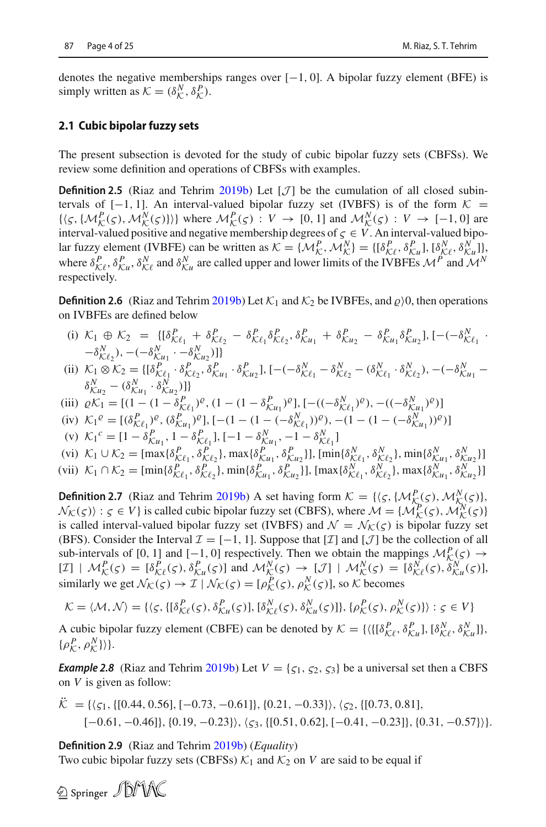denotes the negative memberships ranges over  $[-1, 0]$ . A bipolar fuzzy element (BFE) is simply written as  $K = (\delta_K^N, \delta_K^P)$ .

#### **2.1 Cubic bipolar fuzzy sets**

The present subsection is devoted for the study of cubic bipolar fuzzy sets (CBFSs). We review some definition and operations of CBFSs with examples.

**Definition 2.5** (Riaz and Tehri[m](#page-23-14) [2019b](#page-23-14)) Let  $[\mathcal{J}]$  be the cumulation of all closed subintervals of  $[-1, 1]$ . An interval-valued bipolar fuzzy set (IVBFS) is of the form  $K =$  $\{\langle \varsigma, \{\mathcal{M}_K^P(\varsigma), \mathcal{M}_K^N(\varsigma)\}\rangle\}$  where  $\mathcal{M}_K^P(\varsigma) : V \to [0, 1]$  and  $\mathcal{M}_K^N(\varsigma) : V \to [-1, 0]$  are interval-valued positive and negative membership degrees of  $\zeta \in V$ . An interval-valued bipolar fuzzy element (IVBFE) can be written as  $K = \{M_K^P, M_K^N\} = \{[\delta_{K\ell}^P, \delta_{K\mu}^P], [\delta_{K\ell}^N, \delta_{K\mu}^N]\}$ where  $\delta_{\mathcal{K}^p}^P$ ,  $\delta_{\mathcal{K}^u}^P$ ,  $\delta_{\mathcal{K}^u}^N$  and  $\delta_{\mathcal{K}^u}^N$  are called upper and lower limits of the IVBFEs  $\mathcal{M}^P$  and  $\mathcal{M}^N$ respectively.

**Definition 2.6** (Riaz and Tehri[m](#page-23-14) [2019b](#page-23-14)) Let  $K_1$  and  $K_2$  be IVBFEs, and  $\rho$ )0, then operations on IVBFEs are defined below

- (i)  $\mathcal{K}_1 \oplus \mathcal{K}_2 = \{[\delta_{\mathcal{K}\ell_1}^P + \delta_{\mathcal{K}\ell_2}^P \delta_{\mathcal{K}\ell_1}^P \delta_{\mathcal{K}\ell_2}^P, \delta_{\mathcal{K}u_1}^P + \delta_{\mathcal{K}u_2}^P \delta_{\mathcal{K}u_1}^P \delta_{\mathcal{K}u_2}^P], [-(-\delta_{\mathcal{K}\ell_1}^N \cdot \delta_{\mathcal{K}u_1}^P \delta_{\mathcal{K}u_1}^P \delta_{\mathcal{K}u_2}^P, ]\}$  $-\delta^N_{{\cal K}l_2}$ ),  $-(-\delta^N_{{\cal K}u_1} \cdot -\delta^N_{{\cal K}u_2})$ ]
- (ii)  $K_1 \otimes K_2 = \{[\delta^P_{K\ell_1}, \delta^P_{K\ell_2}, \delta^P_{K\ell_1}, \delta^P_{K\ell_2}, \delta^P_{K\ell_1}]\}$   $[-(-\delta^N_{K\ell_1} \delta^N_{K\ell_2}, \delta^N_{K\ell_2}, \delta^P_{K\ell_2}]\}$  $\delta_{\mathcal{K}u_2}^N - (\delta_{\mathcal{K}u_1}^N \cdot \delta_{\mathcal{K}u_2}^N)]$
- (iii)  $\varrho K_1 = [(1 (1 \delta_{\mathcal{K}\ell_1}^P)^{\varrho}, (1 (1 \delta_{\mathcal{K}\ell_1}^P)^{\varrho}], [-((-\delta_{\mathcal{K}\ell_1}^N)^{\varrho}), -((-\delta_{\mathcal{K}\ell_1}^N)^{\varrho})]$
- $\mathcal{K}_1^{\text{P}} = \left[ (\delta_{\mathcal{K}}^{\text{P}}_{\ell_1})^{\varrho}, (\delta_{\mathcal{K}}^{\text{P}}_{\ell_1})^{\varrho} \right], \left[ -(1 (1 (-\delta_{\mathcal{K}}^{\text{N}}))^{\varrho}), -(1 (1 (-\delta_{\mathcal{K}}^{\text{N}}))^{\varrho}) \right]$
- (v)  $\mathcal{K}_1^c = [1 \delta_{\mathcal{K}u_1}^P, 1 \delta_{\mathcal{K}\ell_1}^P], [-1 \delta_{\mathcal{K}u_1}^N, -1 \delta_{\mathcal{K}\ell_1}^N]$
- (vi)  $\mathcal{K}_1 = \begin{bmatrix} 1 \sigma_{\mathcal{K}u_1}, 1 \sigma_{\mathcal{K}\ell_1}, 1 \sigma_{\mathcal{K}u_1}, -\sigma_{\mathcal{K}u_1} \end{bmatrix}$ <br>
(vi)  $\mathcal{K}_1 \cup \mathcal{K}_2 = [\max\{\delta_{\mathcal{K}\ell_1}^P, \delta_{\mathcal{K}\ell_2}^P\}, \max\{\delta_{\mathcal{K}u_1}^P, \delta_{\mathcal{K}u_2}^P\}], [\min\{\delta_{\mathcal{K}\ell_1}^N, \delta_{\mathcal{K}\ell_2}^N\$
- (vii)  $\mathcal{K}_1 \cap \mathcal{K}_2 = [\min\{\delta_{\mathcal{K}\ell_1}^P, \delta_{\mathcal{K}\ell_2}^P\}, \min\{\delta_{\mathcal{K}u_1}^P, \delta_{\mathcal{K}u_2}^P\}], [\max\{\delta_{\mathcal{K}\ell_1}^N, \delta_{\mathcal{K}\ell_2}^N\}, \max\{\delta_{\mathcal{K}u_1}^N, \delta_{\mathcal{K}u_2}^N\}]$

**Definition 2.7** (Riaz and Tehri[m](#page-23-14) [2019b\)](#page-23-14) A set having form *<sup>K</sup>* = {ς,{*M<sup>P</sup> K*(ς ),*M<sup>N</sup> <sup>K</sup>*(ς )},  $N_K(\varsigma)$  :  $\varsigma \in V$  is called cubic bipolar fuzzy set (CBFS), where  $\mathcal{M} = \{ \mathcal{M}_K^P(\varsigma), \mathcal{M}_K^N(\varsigma) \}$ is called interval-valued bipolar fuzzy set (IVBFS) and  $\mathcal{N} = \mathcal{N}_{\mathcal{K}}(\zeta)$  is bipolar fuzzy set (BFS). Consider the Interval  $\mathcal{I} = [-1, 1]$ . Suppose that [ $\mathcal{I}$ ] and [ $\mathcal{J}$ ] be the collection of all sub-intervals of [0, 1] and  $[-1, 0]$  respectively. Then we obtain the mappings  $M^P(\varsigma) \rightarrow$  $[\mathcal{I}] \mid \mathcal{M}_{\mathcal{K}}^P(\varsigma) = [\delta^P_{\mathcal{K}\ell}(\varsigma), \delta^P_{\mathcal{K}u}(\varsigma)]$  and  $\mathcal{M}_{\mathcal{K}}^N(\varsigma) \to [\mathcal{J}] \mid \mathcal{M}_{\mathcal{K}}^N(\varsigma) = [\delta^N_{\mathcal{K}\ell}(\varsigma), \delta^N_{\mathcal{K}u}(\varsigma)],$ similarly we get  $N_K(\varsigma) \to \mathcal{I} \mid \mathcal{N}_K(\varsigma) = [\rho_K^P(\varsigma), \rho_K^N(\varsigma)]$ , so *K* becomes

$$
\mathcal{K} = \langle \mathcal{M}, \mathcal{N} \rangle = \{ \langle \varsigma, \{ [\delta^P_{\mathcal{K}\ell}(\varsigma), \delta^P_{\mathcal{K}u}(\varsigma)] , [\delta^N_{\mathcal{K}\ell}(\varsigma), \delta^N_{\mathcal{K}u}(\varsigma)] \}, \{ \rho^P_{\mathcal{K}}(\varsigma), \rho^N_{\mathcal{K}}(\varsigma) \} \rangle : \varsigma \in V \}
$$

A cubic bipolar fuzzy element (CBFE) can be denoted by  $K = \{ \langle [\delta^P_{\mathcal{K}\ell}, \delta^P_{\mathcal{K}u}], [\delta^N_{\mathcal{K}\ell}, \delta^N_{\mathcal{K}u}] \rangle, \}$  $\{\rho_{\mathcal{K}}^P, \rho_{\mathcal{K}}^N\}\rangle\}.$ 

*Exa[m](#page-23-14)ple 2.8* (Riaz and Tehrim [2019b](#page-23-14)) Let  $V = \{\zeta_1, \zeta_2, \zeta_3\}$  be a universal set then a CBFS on *V* is given as follow:

$$
\ddot{\mathcal{K}} = \{ \langle \varsigma_1, \{ [0.44, 0.56], [-0.73, -0.61] \}, \{ 0.21, -0.33 \} \rangle, \langle \varsigma_2, \{ [0.73, 0.81] \}, \{-0.61, -0.46] \}, \{ 0.19, -0.23 \} \rangle, \langle \varsigma_3, \{ [0.51, 0.62] \}, [-0.41, -0.23] \}, \{ 0.31, -0.57 \} \rangle \}.
$$

**Definition 2.9** (Riaz and Tehri[m](#page-23-14) [2019b\)](#page-23-14) (*Equality*) Two cubic bipolar fuzzy sets (CBFSs)  $K_1$  and  $K_2$  on *V* are said to be equal if

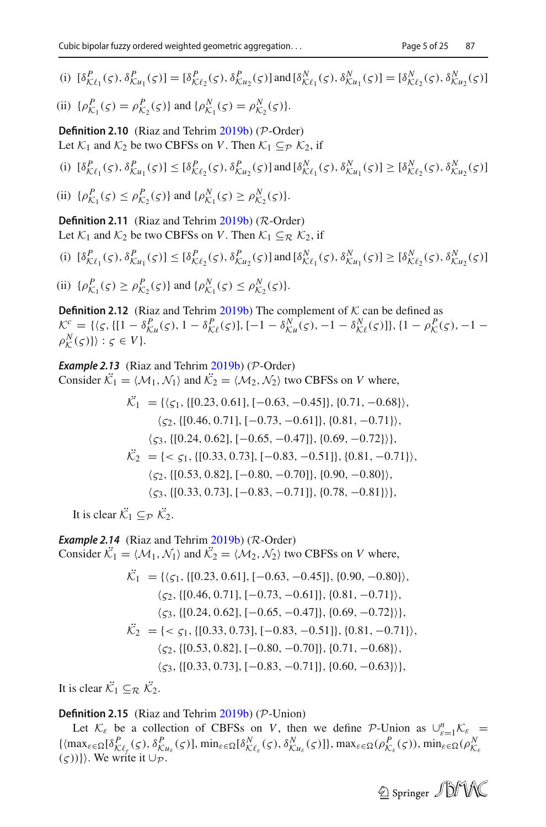(i) 
$$
[\delta^P_{\mathcal{K}\ell_1}(\varsigma), \delta^P_{\mathcal{K}u_1}(\varsigma)] = [\delta^P_{\mathcal{K}\ell_2}(\varsigma), \delta^P_{\mathcal{K}u_2}(\varsigma)]
$$
 and  $[\delta^N_{\mathcal{K}\ell_1}(\varsigma), \delta^N_{\mathcal{K}u_1}(\varsigma)] = [\delta^N_{\mathcal{K}\ell_2}(\varsigma), \delta^N_{\mathcal{K}u_2}(\varsigma)]$ 

(ii) 
$$
\{\rho_{K_1}^P(\zeta) = \rho_{K_2}^P(\zeta)\}\
$$
 and  $\{\rho_{K_1}^N(\zeta) = \rho_{K_2}^N(\zeta)\}.$ 

**Definition 2.10** (Riaz and Tehri[m](#page-23-14) [2019b](#page-23-14)) (*P*-Order) Let  $K_1$  and  $K_2$  be two CBFSs on *V*. Then  $K_1 \subset_{\mathcal{P}} \mathcal{K}_2$ , if

(i)  $[\delta^P_{\mathcal{K}\ell_1}(\varsigma), \delta^P_{\mathcal{K}u_1}(\varsigma)] \leq [\delta^P_{\mathcal{K}\ell_2}(\varsigma), \delta^P_{\mathcal{K}u_2}(\varsigma)]$  and  $[\delta^N_{\mathcal{K}\ell_1}(\varsigma), \delta^N_{\mathcal{K}u_1}(\varsigma)] \geq [\delta^N_{\mathcal{K}\ell_2}(\varsigma), \delta^N_{\mathcal{K}u_2}(\varsigma)]$ 

(ii) 
$$
\{\rho_{\mathcal{K}_1}^P(\varsigma) \leq \rho_{\mathcal{K}_2}^P(\varsigma)\} \text{ and } \{\rho_{\mathcal{K}_1}^N(\varsigma) \geq \rho_{\mathcal{K}_2}^N(\varsigma)\}.
$$

**Definition 2.11** (Riaz and Tehri[m](#page-23-14) [2019b](#page-23-14)) (*R*-Order) Let  $K_1$  and  $K_2$  be two CBFSs on *V*. Then  $K_1 \subseteq_R K_2$ , if

(i)  $[\delta^P_{\mathcal{K}\ell_1}(\varsigma), \delta^P_{\mathcal{K}u_1}(\varsigma)] \leq [\delta^P_{\mathcal{K}\ell_2}(\varsigma), \delta^P_{\mathcal{K}u_2}(\varsigma)]$  and  $[\delta^N_{\mathcal{K}\ell_1}(\varsigma), \delta^N_{\mathcal{K}u_1}(\varsigma)] \geq [\delta^N_{\mathcal{K}\ell_2}(\varsigma), \delta^N_{\mathcal{K}u_2}(\varsigma)]$ 

(ii) 
$$
\{\rho_{\mathcal{K}_1}^P(\varsigma) \ge \rho_{\mathcal{K}_2}^P(\varsigma)\} \text{ and } \{\rho_{\mathcal{K}_1}^N(\varsigma) \le \rho_{\mathcal{K}_2}^N(\varsigma)\}.
$$

**Definition 2.12** (Riaz and Tehri[m](#page-23-14)  $2019b$ ) The complement of  $K$  can be defined as  $\mathcal{K}^c = \{(\zeta, \{[1 - \delta_{\mathcal{K}u}^P(\zeta), 1 - \delta_{\mathcal{K}l}^P(\zeta)], [-1 - \delta_{\mathcal{K}u}^N(\zeta), -1 - \delta_{\mathcal{K}l}^N(\zeta)]\}, \{1 - \rho_{\mathcal{K}}^P(\zeta), -1 - \rho_{\mathcal{K}l}^P(\zeta)\}$  $\rho^N(\varsigma)$ } :  $\varsigma \in V$  }.

*Example 2.13* (Riaz and Tehri[m](#page-23-14) [2019b](#page-23-14)) (*P*-Order) Consider  $K_1 = \langle M_1, \mathcal{N}_1 \rangle$  and  $K_2 = \langle \mathcal{M}_2, \mathcal{N}_2 \rangle$  two CBFSs on *V* where,

$$
\mathcal{K}_1 = \{ \langle \varsigma_1, \{ [0.23, 0.61], [-0.63, -0.45] \}, \{ 0.71, -0.68 \} \rangle, \\ \langle \varsigma_2, \{ [0.46, 0.71], [-0.73, -0.61] \}, \{ 0.81, -0.71 \} \rangle, \\ \langle \varsigma_3, \{ [0.24, 0.62], [-0.65, -0.47] \}, \{ 0.69, -0.72 \} \rangle \}, \\ \mathcal{K}_2 = \{ \langle \varsigma_1, \{ [0.33, 0.73], [-0.83, -0.51] \}, \{ 0.81, -0.71 \} \rangle, \\ \langle \varsigma_2, \{ [0.53, 0.82], [-0.80, -0.70] \}, \{ 0.90, -0.80 \} \rangle, \\ \langle \varsigma_3, \{ [0.33, 0.73], [-0.83, -0.71] \}, \{ 0.78, -0.81 \} \rangle \},
$$

It is clear  $\mathcal{K}_1 \subseteq_{\mathcal{P}} \mathcal{K}_2$ .

*Example 2.14* (Riaz and Tehri[m](#page-23-14) [2019b](#page-23-14)) (*R*-Order)

Consider  $K_1 = \langle M_1, \mathcal{N}_1 \rangle$  and  $K_2 = \langle \mathcal{M}_2, \mathcal{N}_2 \rangle$  two CBFSs on *V* where,

$$
\mathcal{K}_1 = \{ \langle \varsigma_1, \{ [0.23, 0.61], [-0.63, -0.45] \}, \{ 0.90, -0.80 \} \rangle, \n\langle \varsigma_2, \{ [0.46, 0.71], [-0.73, -0.61] \}, \{ 0.81, -0.71 \} \rangle, \n\langle \varsigma_3, \{ [0.24, 0.62], [-0.65, -0.47] \}, \{ 0.69, -0.72 \} \rangle \}, \n\mathcal{K}_2 = \{ < \varsigma_1, \{ [0.33, 0.73], [-0.83, -0.51] \}, \{ 0.81, -0.71 \} \rangle, \n\langle \varsigma_2, \{ [0.53, 0.82], [-0.80, -0.70] \}, \{ 0.71, -0.68 \} \rangle, \n\langle \varsigma_3, \{ [0.33, 0.73], [-0.83, -0.71] \}, \{ 0.60, -0.63 \} \rangle \},
$$

It is clear  $\mathcal{K}_1 \subseteq_{\mathcal{R}} \mathcal{K}_2$ .

#### **Definition 2.15** (Riaz and Tehri[m](#page-23-14) [2019b](#page-23-14)) (*P*-Union)

Let  $K_{\varepsilon}$  be a collection of CBFSs on *V*, then we define *P*-Union as  $\bigcup_{\varepsilon=1}^{n} K_{\varepsilon} =$  $\{\langle \max_{\varepsilon \in \Omega} [\delta^P_{\mathcal{K}\ell_{\varepsilon}}(\varsigma), \delta^P_{\mathcal{K}u_{\varepsilon}}(\varsigma)]\}$ ,  $\min_{\varepsilon \in \Omega} [\delta^N_{\mathcal{K}\ell_{\varepsilon}}(\varsigma), \delta^N_{\mathcal{K}u_{\varepsilon}}(\varsigma)]\}$ ,  $\max_{\varepsilon \in \Omega} (\rho^P_{\mathcal{K}_{\varepsilon}}(\varsigma))$ ,  $\min_{\varepsilon \in \Omega} (\rho^N_{\mathcal{K}_{\varepsilon}}(\varsigma))$  $({\zeta})\}\)$ . We write it  $\cup_{\mathcal{P}}$ .

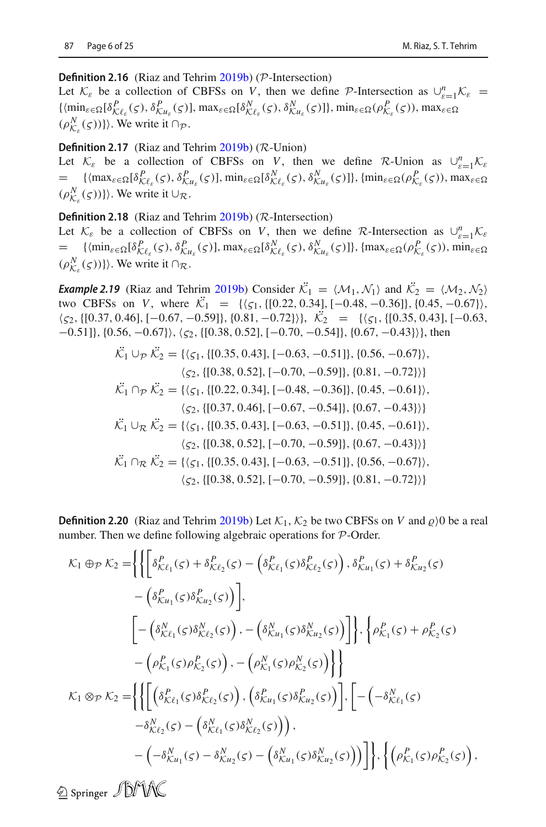#### **Definition 2.16** (Riaz and Tehri[m](#page-23-14) [2019b](#page-23-14)) (*P*-Intersection)

Let  $K_{\varepsilon}$  be a collection of CBFSs on *V*, then we define *P*-Intersection as  $\cup_{\varepsilon=1}^{n} K_{\varepsilon} =$  $\{\langle \min_{\varepsilon \in \Omega} [\delta^P_{\mathcal{K}\ell_{\varepsilon}}(\varsigma), \delta^P_{\mathcal{K}u_{\varepsilon}}(\varsigma)], \max_{\varepsilon \in \Omega} [\delta^N_{\mathcal{K}\ell_{\varepsilon}}(\varsigma), \delta^N_{\mathcal{K}u_{\varepsilon}}(\varsigma)]\}, \min_{\varepsilon \in \Omega} (\rho^P_{\mathcal{K}_{\varepsilon}}(\varsigma))$ , max $\varepsilon \in \Omega$  $(\rho_{\mathcal{K}_{\varepsilon}}^N(\varsigma))\}\rangle$ . We write it  $\cap_{\mathcal{P}}$ .

#### **Definition 2.17** (Riaz and Tehri[m](#page-23-14) [2019b](#page-23-14)) (*R*-Union)

Let  $K_{\varepsilon}$  be a collection of CBFSs on *V*, then we define *R*-Union as  $\bigcup_{\varepsilon=1}^{n} K_{\varepsilon}$  $=\sum_{N} {\{\left(\max_{\varepsilon \in \Omega} [\delta_{\mathcal{K}\ell_{\varepsilon}}^{P}(\varsigma), \delta_{\mathcal{K}u_{\varepsilon}}^{P}(\varsigma)\right\}, \min_{\varepsilon \in \Omega} [\delta_{\mathcal{K}\ell_{\varepsilon}}^{N}(\varsigma), \delta_{\mathcal{K}u_{\varepsilon}}^{N}(\varsigma)]\}, \{\min_{\varepsilon \in \Omega} (\rho_{\mathcal{K}_{\varepsilon}}^{P}(\varsigma))\}, \max_{\varepsilon \in \Omega}$  $(\rho_{\mathcal{K}_{\varepsilon}}^N(\varsigma))\}\rangle$ . We write it  $\cup_{\mathcal{R}}$ .

**Definition 2.18** (Riaz and Tehri[m](#page-23-14) [2019b](#page-23-14)) (*R*-Intersection)

Let  $K_{\varepsilon}$  be a collection of CBFSs on *V*, then we define *R*-Intersection as  $\bigcup_{\varepsilon=1}^{n} K_{\varepsilon}$  $=\left\{\{\min_{\varepsilon\in\Omega}[\delta^P_{\mathcal{K}\ell_{\varepsilon}}(\varsigma),\delta^P_{\mathcal{K}u_{\varepsilon}}(\varsigma)],\max_{\varepsilon\in\Omega}[\delta^N_{\mathcal{K}\ell_{\varepsilon}}(\varsigma),\delta^N_{\mathcal{K}u_{\varepsilon}}(\varsigma)]\right\},\{max_{\varepsilon\in\Omega}(\rho^P_{\mathcal{K}_{\varepsilon}}(\varsigma)),\min_{\varepsilon\in\Omega}[\delta^N_{\mathcal{K}u_{\varepsilon}}(\varsigma)]\}$  $(\rho_{\mathcal{K}_{\varepsilon}}^N(\varsigma))\}\rangle$ . We write it  $\cap_{\mathcal{R}}$ .

*Exa[m](#page-23-14)ple 2.19* (Riaz and Tehrim [2019b\)](#page-23-14) Consider  $\mathcal{K}_1 = \langle \mathcal{M}_1, \mathcal{N}_1 \rangle$  and  $\mathcal{K}_2 = \langle \mathcal{M}_2, \mathcal{N}_2 \rangle$ two CBFSs on *V*, where  $K_1 = \{(\zeta_1, \{[0.22, 0.34], [-0.48, -0.36]\}, \{0.45, -0.67\}),\}$  $\langle \zeta_2, \{[0.37, 0.46], [-0.67, -0.59]\}, \{0.81, -0.72\} \rangle$ ,  $\mathcal{K}_2 = \{ \langle \zeta_1, \{[0.35, 0.43], [-0.63, 0.43]\}, \zeta_2, \{[0.37, 0.46]\} \rangle$  $[-0.51]$ , {0.56,  $-0.67$ },  $\langle \zeta_2, \{[0.38, 0.52], [-0.70, -0.54]\}, \{0.67, -0.43\} \rangle$ , then

$$
\mathcal{K}_1 \cup_{\mathcal{P}} \mathcal{K}_2 = \{ \langle \zeta_1, \{ [0.35, 0.43], [-0.63, -0.51] \}, \{ 0.56, -0.67 \} \rangle, \n\langle \zeta_2, \{ [0.38, 0.52], [-0.70, -0.59] \}, \{ 0.81, -0.72 \} \rangle \}
$$
\n
$$
\mathcal{K}_1 \cap_{\mathcal{P}} \mathcal{K}_2 = \{ \langle \zeta_1, \{ [0.22, 0.34], [-0.48, -0.36] \}, \{ 0.45, -0.61 \} \rangle, \n\langle \zeta_2, \{ [0.37, 0.46], [-0.67, -0.54] \}, \{ 0.67, -0.43 \} \rangle \}
$$
\n
$$
\mathcal{K}_1 \cup_{\mathcal{R}} \mathcal{K}_2 = \{ \langle \zeta_1, \{ [0.35, 0.43], [-0.63, -0.51] \}, \{ 0.45, -0.61 \} \rangle, \n\langle \zeta_2, \{ [0.38, 0.52], [-0.70, -0.59] \}, \{ 0.67, -0.43 \} \rangle \}
$$
\n
$$
\mathcal{K}_1 \cap_{\mathcal{R}} \mathcal{K}_2 = \{ \langle \zeta_1, \{ [0.35, 0.43], [-0.63, -0.51] \}, \{ 0.56, -0.67 \} \rangle, \n\langle \zeta_2, \{ [0.38, 0.52], [-0.70, -0.59] \}, \{ 0.81, -0.72 \} \rangle \}
$$

**Definition 2.20** (Riaz and Tehri[m](#page-23-14) [2019b](#page-23-14)) Let  $K_1$ ,  $K_2$  be two CBFSs on *V* and  $\varrho$ )0 be a real number. Then we define following algebraic operations for *P*-Order.

$$
\mathcal{K}_1 \oplus_{\mathcal{P}} \mathcal{K}_2 = \left\{ \left\{ \left[ \delta^P_{\mathcal{K}\ell_1}(\varsigma) + \delta^P_{\mathcal{K}\ell_2}(\varsigma) - \left( \delta^P_{\mathcal{K}\ell_1}(\varsigma) \delta^P_{\mathcal{K}\ell_2}(\varsigma) \right), \delta^P_{\mathcal{K}u_1}(\varsigma) + \delta^P_{\mathcal{K}u_2}(\varsigma) \right. \right. \\ \left. - \left( \delta^P_{\mathcal{K}u_1}(\varsigma) \delta^P_{\mathcal{K}u_2}(\varsigma) \right) \right],
$$
\n
$$
\left[ - \left( \delta^N_{\mathcal{K}\ell_1}(\varsigma) \delta^N_{\mathcal{K}\ell_2}(\varsigma) \right), - \left( \delta^N_{\mathcal{K}u_1}(\varsigma) \delta^N_{\mathcal{K}u_2}(\varsigma) \right) \right] \right\}, \left\{ \rho^P_{\mathcal{K}_1}(\varsigma) + \rho^P_{\mathcal{K}_2}(\varsigma) \right. \\ \left. - \left( \rho^P_{\mathcal{K}_1}(\varsigma) \rho^P_{\mathcal{K}_2}(\varsigma) \right), - \left( \rho^N_{\mathcal{K}_1}(\varsigma) \rho^N_{\mathcal{K}_2}(\varsigma) \right) \right\} \right\}
$$
\n
$$
\mathcal{K}_1 \otimes_{\mathcal{P}} \mathcal{K}_2 = \left\{ \left\{ \left[ \left( \delta^P_{\mathcal{K}\ell_1}(\varsigma) \delta^P_{\mathcal{K}\ell_2}(\varsigma) \right), \left( \delta^P_{\mathcal{K}u_1}(\varsigma) \delta^P_{\mathcal{K}u_2}(\varsigma) \right) \right], \left[ - \left( -\delta^N_{\mathcal{K}\ell_1}(\varsigma) \right) \right. \\ \left. - \delta^N_{\mathcal{K}\ell_2}(\varsigma) - \left( \delta^N_{\mathcal{K}\ell_1}(\varsigma) \delta^N_{\mathcal{K}\ell_2}(\varsigma) \right) \right) \right\}, \left\{ \left( \rho^P_{\mathcal{K}_1}(\varsigma) \rho^P_{\mathcal{K}_2}(\varsigma) \right), \right\}.
$$

**2 Springer JUNK**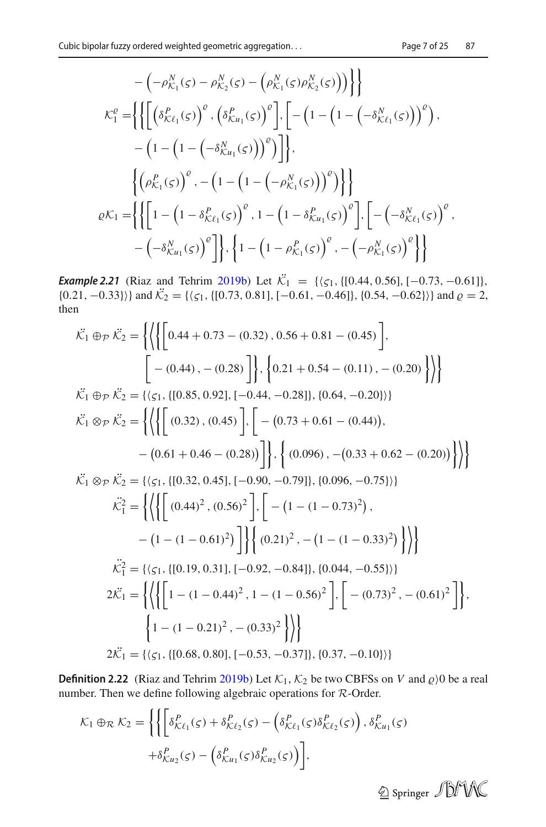$$
-(-\rho_{K_{1}}^{N}(s) - \rho_{K_{2}}^{N}(s) - (\rho_{K_{1}}^{N}(s)\rho_{K_{2}}^{N}(s)) ) \}
$$
\n
$$
\mathcal{K}_{1}^{e} = \left\{ \left\{ \left[ \left( \delta_{K\ell_{1}}^{P}(s) \right)^{e}, \left( \delta_{Ku_{1}}^{P}(s) \right)^{e} \right], \left[ -\left( 1 - \left( 1 - \left( -\delta_{K\ell_{1}}^{N}(s) \right) \right)^{e} \right), -\left( 1 - \left( 1 - \left( -\delta_{Ku_{1}}^{N}(s) \right) \right)^{e} \right) \right] \right\}, \left\{ \left( \rho_{K_{1}}^{P}(s) \right)^{e}, -\left( 1 - \left( 1 - \left( -\rho_{K_{1}}^{N}(s) \right) \right)^{e} \right) \right\} \right\}
$$
\n
$$
\varrho \mathcal{K}_{1} = \left\{ \left\{ \left[ 1 - \left( 1 - \delta_{K\ell_{1}}^{P}(s) \right)^{e}, 1 - \left( 1 - \delta_{Ku_{1}}^{P}(s) \right)^{e} \right], \left[ -\left( -\delta_{K\ell_{1}}^{N}(s) \right)^{e}, -\left( -\delta_{Ku_{1}}^{N}(s) \right)^{e} \right] \right\}, \left\{ 1 - \left( 1 - \rho_{K_{1}}^{P}(s) \right)^{e}, -\left( -\rho_{K_{1}}^{N}(s) \right)^{e} \right\} \right\}
$$

*Exa[m](#page-23-14)ple 2.21* (Riaz and Tehrim [2019b\)](#page-23-14) Let  $\mathcal{K}_1 = \{(\zeta_1, \{[0.44, 0.56], [-0.73, -0.61]\},\$  $\{(0.21, -0.33)\}\$  and  $\mathcal{K}_2 = \{\{\zeta_1, \{[0.73, 0.81], [-0.61, -0.46]\}, \{0.54, -0.62\}\}\}\$  and  $\varrho = 2$ , then

$$
\vec{\mathcal{K}}_1 \oplus_{\mathcal{P}} \vec{\mathcal{K}}_2 = \left\{ \left\{ \left\{ \left[ 0.44 + 0.73 - (0.32), 0.56 + 0.81 - (0.45) \right], \right. \right\} \right\}
$$
\n
$$
\vec{\mathcal{K}}_1 \oplus_{\mathcal{P}} \vec{\mathcal{K}}_2 = \left\{ \left\{ \left\{ \left[ 0.44, -0.73 - (0.28) \right], \left\{ 0.21 + 0.54 - (0.11), - (0.20) \right\} \right\} \right\}
$$
\n
$$
\vec{\mathcal{K}}_1 \oplus_{\mathcal{P}} \vec{\mathcal{K}}_2 = \left\{ \left\{ \left\{ \left[ (0.85, 0.92], [-0.44, -0.28]], \{0.64, -0.20\} \right] \right\} \right. \right\}
$$
\n
$$
\vec{\mathcal{K}}_1 \otimes_{\mathcal{P}} \vec{\mathcal{K}}_2 = \left\{ \left\{ \left\{ \left[ (0.32), (0.45) \right], \left[ - (0.73 + 0.61 - (0.44)), \right. \right. \right. \right. \left. \left. - (0.61 + 0.46 - (0.28)) \right] \right\}, \left\{ (0.096), - (0.33 + 0.62 - (0.20)) \right\} \right\}
$$
\n
$$
\vec{\mathcal{K}}_1 \otimes_{\mathcal{P}} \vec{\mathcal{K}}_2 = \left\{ \left\{ \left\{ \left[ (0.32, 0.45], [-0.90, -0.79]], \{0.096, -0.75\} \right\} \right. \right. \right. \left. - (1 - (1 - 0.73)^2), \right. \left. - (1 - (1 - 0.61)^2) \right] \right\}
$$
\n
$$
\vec{\mathcal{K}}_1^2 = \left\{ \left\{ \left\{ \left[ (0.44)^2, (0.56)^2 \right], \left[ - (1 - (1 - 0.73)^2), \right. \left. - (1 - (1 - 0.33)^2) \right] \right\} \right\}
$$
\n
$$
\vec{\mathcal
$$

**Definition 2.22** (Riaz and Tehri[m](#page-23-14) [2019b](#page-23-14)) Let  $K_1$ ,  $K_2$  be two CBFSs on *V* and  $\varrho$ )0 be a real number. Then we define following algebraic operations for *R*-Order.

$$
\mathcal{K}_1 \oplus_{\mathcal{R}} \mathcal{K}_2 = \left\{ \left\{ \left[ \delta^P_{\mathcal{K}\ell_1}(\varsigma) + \delta^P_{\mathcal{K}\ell_2}(\varsigma) - \left( \delta^P_{\mathcal{K}\ell_1}(\varsigma) \delta^P_{\mathcal{K}\ell_2}(\varsigma) \right), \delta^P_{\mathcal{K}u_1}(\varsigma) \right. \right. \\ \left. + \delta^P_{\mathcal{K}u_2}(\varsigma) - \left( \delta^P_{\mathcal{K}u_1}(\varsigma) \delta^P_{\mathcal{K}u_2}(\varsigma) \right) \right\},
$$

 $\circledcirc$  Springer  $\mathcal{D}$ MK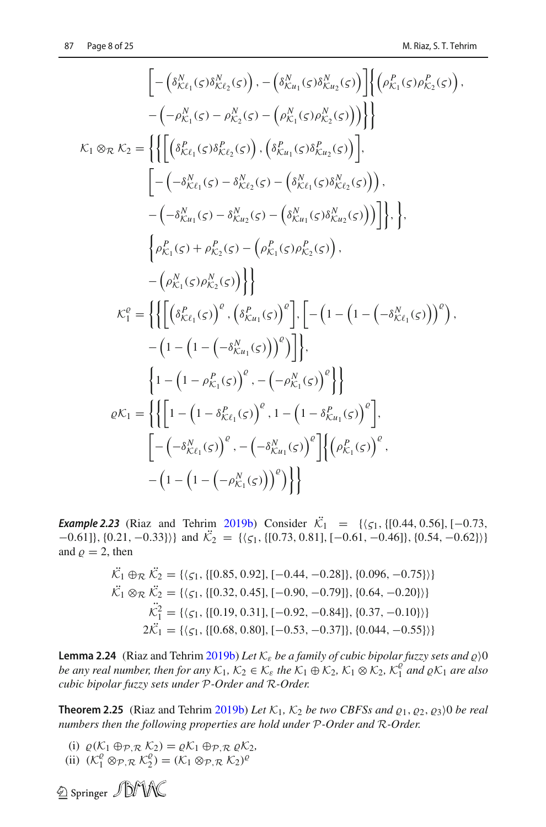$$
\begin{split}\n&\left[-\left(\delta_{K\ell_{1}}^{N}(\varsigma)\delta_{K\ell_{2}}^{N}(\varsigma)\right), -\left(\delta_{K\mu_{1}}^{N}(\varsigma)\delta_{K\mu_{2}}^{N}(\varsigma)\right)\right]\left\{\left(\rho_{K_{1}}^{P}(\varsigma)\rho_{K_{2}}^{P}(\varsigma)\right), \\
&-\left(-\rho_{K_{1}}^{N}(\varsigma)-\rho_{K_{2}}^{N}(\varsigma)-\left(\rho_{K_{1}}^{N}(\varsigma)\rho_{K_{2}}^{N}(\varsigma)\right)\right)\right\} \\
&\kappa_{1} \otimes_{\mathcal{R}} \kappa_{2} = \left\{\left\{\left[\left(\delta_{K\ell_{1}}^{P}(\varsigma)\delta_{K\ell_{2}}^{P}(\varsigma)\right), \left(\delta_{K\mu_{1}}^{P}(\varsigma)\delta_{K\mu_{2}}^{N}(\varsigma)\right)\right], \\
&\left[-\left(-\delta_{K\ell_{1}}^{N}(\varsigma)-\delta_{K\ell_{2}}^{N}(\varsigma)-\left(\delta_{K\ell_{1}}^{N}(\varsigma)\delta_{K\ell_{2}}^{N}(\varsigma)\right)\right)\right], \\
&-\left(-\delta_{K\mu_{1}}^{N}(\varsigma)-\delta_{K\mu_{2}}^{N}(\varsigma)-\left(\delta_{K\mu_{1}}^{N}(\varsigma)\delta_{K\mu_{2}}^{N}(\varsigma)\right)\right)\right\}, \\
&\left\{\rho_{K_{1}}^{P}(\varsigma)+\rho_{K_{2}}^{P}(\varsigma)-\left(\rho_{K_{1}}^{P}(\varsigma)\rho_{K_{2}}^{P}(\varsigma)\right), \\
&-\left(\rho_{K_{1}}^{N}(\varsigma)\rho_{K_{2}}^{N}(\varsigma)\right)\right\}\right\} \\
&\kappa_{1}^{e} = \left\{\left\{\left[\left(\delta_{K\ell_{1}}^{P}(\varsigma)\right)^{e}, \left(\delta_{K\mu_{1}}^{P}(\varsigma)\right)^{e}\right], \left[-\left(1-\left(1-\left(-\delta_{K\ell_{1}}^{N}(\varsigma)\right)\right)^{e}\right), \\
&-\left(1-\left(1-\left(-\delta_{K\mu_{1}}^{N}(\varsigma)\right)\right)^{e}\right)\right\}, \\
&\rho_{K_{1}} = \left\{\left\{\left[1-\left(1-\delta_{K\ell_{1}}^{P}(\varsigma)\right)^{e}, 1-\left(1-\delta_{K\mu_{1}}^{P}
$$

*Exa[m](#page-23-14)ple 2.23* (Riaz and Tehrim [2019b\)](#page-23-14) Consider  $\mathcal{K}_1 = \{(\zeta_1, \{[0.44, 0.56], [-0.73,$  $[-0.61]$ , {0.21, -0.33})} and  $\mathcal{K}_2 = {\{\zeta_1, \{[0.73, 0.81], [-0.61, -0.46]\}, \{0.54, -0.62\}\}\}\$ and  $\rho = 2$ , then

$$
\mathcal{K}_1 \oplus_{\mathcal{R}} \mathcal{K}_2 = \{ \langle \varsigma_1, \{ [0.85, 0.92], [-0.44, -0.28] \}, \{ 0.096, -0.75 \} \rangle \}
$$
\n
$$
\mathcal{K}_1 \otimes_{\mathcal{R}} \mathcal{K}_2 = \{ \langle \varsigma_1, \{ [0.32, 0.45], [-0.90, -0.79] \}, \{ 0.64, -0.20 \} \rangle \}
$$
\n
$$
\mathcal{K}_1^2 = \{ \langle \varsigma_1, \{ [0.19, 0.31], [-0.92, -0.84] \}, \{ 0.37, -0.10 \} \rangle \}
$$
\n
$$
2\mathcal{K}_1 = \{ \langle \varsigma_1, \{ [0.68, 0.80], [-0.53, -0.37] \}, \{ 0.044, -0.55 \} \rangle \}
$$

**Le[m](#page-23-14)ma 2.24** (Riaz and Tehrim [2019b](#page-23-14)) Let  $K_{\varepsilon}$  be a family of cubic bipolar fuzzy sets and  $\varrho$ )0 *be any real number, then for any*  $K_1$ ,  $K_2 \in K_{\varepsilon}$  *the*  $K_1 \oplus K_2$ ,  $K_1 \otimes K_2$ ,  $K_1^{\varrho}$  *and*  $\varrho K_1$  *are also cubic bipolar fuzzy sets under P-Order and R-Order.*

**Theore[m](#page-23-14) 2.25** (Riaz and Tehrim [2019b\)](#page-23-14) Let  $K_1$ ,  $K_2$  be two CBFSs and  $\varrho_1$ ,  $\varrho_2$ ,  $\varrho_3$ ) 0 be real *numbers then the following properties are hold under P-Order and R-Order.*

(i)  $\varrho(K_1 \oplus_{\mathcal{P}, \mathcal{R}} \mathcal{K}_2) = \varrho \mathcal{K}_1 \oplus_{\mathcal{P}, \mathcal{R}} \varrho \mathcal{K}_2$ (ii)  $(K_1^e \otimes_{\mathcal{P}, \mathcal{R}} K_2^e) = (K_1 \otimes_{\mathcal{P}, \mathcal{R}} K_2)^e$ 

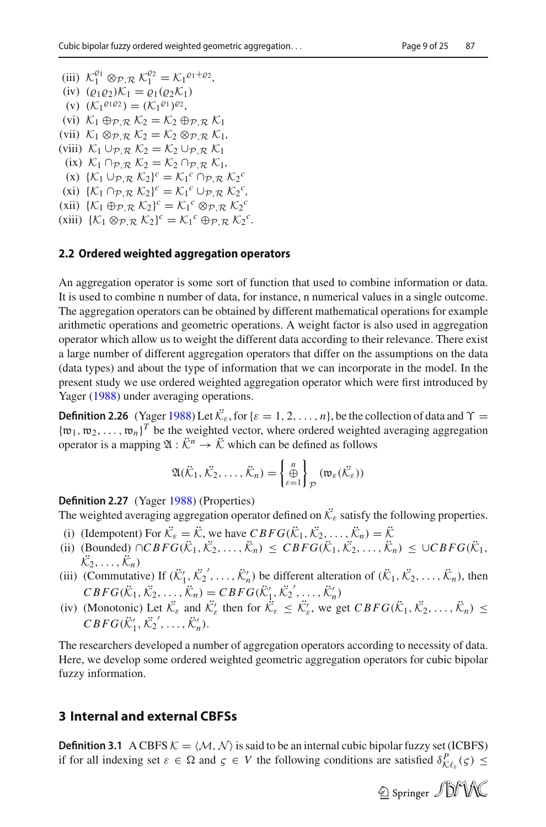- (iii)  $\mathcal{K}_1^{\varrho_1} \otimes_{\mathcal{P}, \mathcal{R}} \mathcal{K}_1^{\varrho_2} = \mathcal{K}_1^{\varrho_1 + \varrho_2},$
- (iv)  $(\varrho_1 \varrho_2) \mathcal{K}_1 = \varrho_1(\varrho_2 \mathcal{K}_1)$
- (v)  $(K_1^{q_1q_2}) = (K_1^{q_1})^{q_2}$ ,
- (vi) *K*<sup>1</sup> ⊕*P*,*<sup>R</sup> K*<sup>2</sup> = *K*<sup>2</sup> ⊕*P*,*<sup>R</sup> K*<sup>1</sup>
- (vii)  $K_1 \otimes_{\mathcal{P}} R K_2 = K_2 \otimes_{\mathcal{P}} R K_1$
- (viii) *K*<sup>1</sup> ∪*P*,*<sup>R</sup> K*<sup>2</sup> = *K*<sup>2</sup> ∪*P*,*<sup>R</sup> K*<sup>1</sup>
- $(K_1 \cap P \mathbb{R} \setminus K_2 = K_2 \cap P \mathbb{R} \setminus K_1$
- $(K_1 \cup_{\mathcal{P}, \mathcal{R}} \mathcal{K}_2)^c = \mathcal{K}_1^c \cap_{\mathcal{P}, \mathcal{R}} \mathcal{K}_2^c$
- $(\mathbf{x}) \{K_1 \cap \mathcal{P}, \mathcal{R} \mid K_2\}^c = K_1^c \cup \mathcal{P}, \mathcal{R} \mid K_2^c,$
- $(\text{Xii}) \{K_1 \oplus \mathcal{P}, \mathcal{R} \mid K_2\}^c = \mathcal{K}_1^c \otimes \mathcal{P}, \mathcal{R} \mid K_2^c$ (xiii)  $\{K_1 \otimes_{\mathcal{P}, \mathcal{R}} K_2\}^c = K_1^c \oplus_{\mathcal{P}, \mathcal{R}} K_2^c.$

#### **2.2 Ordered weighted aggregation operators**

An aggregation operator is some sort of function that used to combine information or data. It is used to combine n number of data, for instance, n numerical values in a single outcome. The aggregation operators can be obtained by different mathematical operations for example arithmetic operations and geometric operations. A weight factor is also used in aggregation operator which allow us to weight the different data according to their relevance. There exist a large number of different aggregation operators that differ on the assumptions on the data (data types) and about the type of information that we can incorporate in the model. In the present study we use ordered weighted aggregation operator which were first introduced by Yage[r](#page-23-15) [\(1988\)](#page-23-15) under averaging operations.

**Definition 2.26** (Yage[r](#page-23-15) [1988](#page-23-15)) Let  $\mathcal{K}_{\varepsilon}$ , for { $\varepsilon = 1, 2, ..., n$ }, be the collection of data and  $\Upsilon =$  ${\{\mathfrak{w}_1,\mathfrak{w}_2,\ldots,\mathfrak{w}_n\}}^T$  be the weighted vector, where ordered weighted averaging aggregation operator is a mapping  $\mathfrak{A}: \ddot{\mathcal{K}}^n \to \ddot{\mathcal{K}}$  which can be defined as follows

$$
\mathfrak{A}(\ddot{\mathcal{K}}_1, \ddot{\mathcal{K}}_2, \ldots, \ddot{\mathcal{K}}_n) = \left\{ \bigoplus_{\varepsilon=1}^n \right\}_\mathcal{P} (\mathfrak{w}_{\varepsilon}(\ddot{\mathcal{K}}_{\varepsilon}))
$$

**Definition 2.27** (Yage[r](#page-23-15) [1988\)](#page-23-15) (Properties)

The weighted averaging aggregation operator defined on  $\mathcal{K}_{\varepsilon}$  satisfy the following properties.

- (i) (Idempotent) For  $\mathcal{K}_{\varepsilon} = \mathcal{K}$ , we have  $CBFG(\mathcal{K}_1, \mathcal{K}_2, ..., \mathcal{K}_n) = \mathcal{K}$
- (ii) (Bounded) ∩*CBFG*( $K_1, K_2, ..., K_n$ ) ≤ *CBFG*( $K_1, K_2, ..., K_n$ ) ≤ ∪*CBFG*( $K_1$ ,  $\mathcal{K}_2, \ldots, \mathcal{K}_n$
- (iii) (Commutative) If  $(\ddot{\mathcal{K}}'_1, \ddot{\mathcal{K}}'_2, ..., \ddot{\mathcal{K}}'_n)$  be different alteration of  $(\ddot{\mathcal{K}}_1, \ddot{\mathcal{K}}_2, ..., \ddot{\mathcal{K}}_n)$ , then  $CBFG(\ddot{K}_1, \ddot{K}_2, ..., \ddot{K}_n) = CBFG(\ddot{K}'_1, \ddot{K}_2', ..., \ddot{K}'_n)$
- (iv) (Monotonic) Let  $\mathcal{K}_{\varepsilon}$  and  $\mathcal{K}'_{\varepsilon}$  then for  $\mathcal{K}_{\varepsilon} \leq \mathcal{K}'_{\varepsilon}$ , we get  $CBFG(\mathcal{K}_1, \mathcal{K}_2, \ldots, \mathcal{K}_n) \leq$  $CBFG(\ddot{K}'_1, \ddot{K}_2', \ldots, \ddot{K}'_n).$

The researchers developed a number of aggregation operators according to necessity of data. Here, we develop some ordered weighted geometric aggregation operators for cubic bipolar fuzzy information.

#### <span id="page-8-0"></span>**3 Internal and external CBFSs**

**Definition 3.1** A CBFS  $K = \langle M, \mathcal{N} \rangle$  is said to be an internal cubic bipolar fuzzy set (ICBFS) if for all indexing set  $\varepsilon \in \Omega$  and  $\zeta \in V$  the following conditions are satisfied  $\delta_{\mathcal{K}\ell_{\varepsilon}}^P(\zeta) \leq$ 

2 Springer JDMAC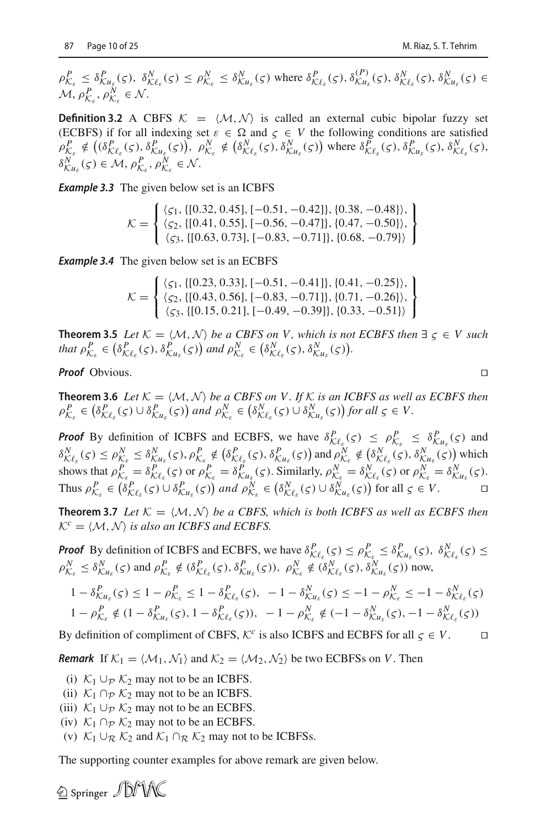$\rho_{\mathcal{K}_{\varepsilon}}^P \leq \delta_{\mathcal{K}u_{\varepsilon}}^P(\varsigma), \ \delta_{\mathcal{K}\ell_{\varepsilon}}^N(\varsigma) \leq \rho_{\mathcal{K}_{\varepsilon}}^N \leq \delta_{\mathcal{K}u_{\varepsilon}}^N(\varsigma)$  where  $\delta_{\mathcal{K}\ell_{\varepsilon}}^P(\varsigma), \delta_{\mathcal{K}u_{\varepsilon}}^P(\varsigma), \delta_{\mathcal{K}\ell_{\varepsilon}}^N(\varsigma), \delta_{\mathcal{K}u_{\varepsilon}}^N(\varsigma) \in$  $M, \rho_{\mathcal{K}_{\varepsilon}}^P, \rho_{\mathcal{K}_{\varepsilon}}^N \in \mathcal{N}.$ 

**Definition 3.2** A CBFS  $K = \langle M, \mathcal{N} \rangle$  is called an external cubic bipolar fuzzy set (ECBFS) if for all indexing set  $\varepsilon \in \Omega$  and  $\zeta \in V$  the following conditions are satisfied (ECBFS) if for all indexing set  $\varepsilon \in \Omega$  and  $\zeta \in V$  the following conditions are satisfied  $\rho_{\mathcal{K}_{\varepsilon}}^P \notin \left( (\delta_{\mathcal{K}\ell_{\varepsilon}}^P(\varsigma), \delta_{\mathcal{K}u_{\varepsilon}}^P(\varsigma)), \ \rho_{\mathcal{K}_{\varepsilon}}^N \notin \left( \delta_{\mathcal{K}\ell_{\varepsilon}}^N(\varsigma), \delta_{\mathcal{K}u_{\varepsilon}}^N(\varsigma) \right) \text{ where } \delta_{\mathcal{K}\ell_{\varepsilon}}^P(\varsigma), \delta_{\mathcal{K}u_{\varepsilon}}^P(\varsigma), \delta_{\mathcal{K}\ell_{\varepsilon}}^N(\varsigma), \delta_{\mathcal{K}\ell_{\varepsilon$  $\delta_{\mathcal{K}u_{\varepsilon}}^N(\varsigma) \in \mathcal{M}, \rho_{\mathcal{K}_{\varepsilon}}^P, \rho_{\mathcal{K}_{\varepsilon}}^N \in \mathcal{N}.$ 

*Example 3.3* The given below set is an ICBFS

$$
\mathcal{K} = \left\{ \begin{array}{l} \langle \varsigma_1, \{[0.32, 0.45], [-0.51, -0.42]\}, \{0.38, -0.48\} \rangle, \\ \langle \varsigma_2, \{[0.41, 0.55], [-0.56, -0.47]\}, \{0.47, -0.50\} \rangle, \\ \langle \varsigma_3, \{[0.63, 0.73], [-0.83, -0.71]\}, \{0.68, -0.79\} \rangle \end{array} \right\}
$$

*Example 3.4* The given below set is an ECBFS

$$
\mathcal{K} = \left\{ \begin{array}{l} \langle \varsigma_1, \{[0.23, 0.33], [-0.51, -0.41] \}, \{0.41, -0.25\} \rangle, \\ \langle \varsigma_2, \{[0.43, 0.56], [-0.83, -0.71] \}, \{0.71, -0.26\} \rangle, \\ \langle \varsigma_3, \{[0.15, 0.21], [-0.49, -0.39] \}, \{0.33, -0.51\} \rangle \end{array} \right\}
$$

**Theorem 3.5** *Let*  $K = \langle M, \mathcal{N} \rangle$  *be a CBFS on V, which is not ECBFS then*  $\exists \zeta \in V$  *such that*  $\rho_{\mathcal{K}_{\varepsilon}}^P \in (\delta_{\mathcal{K}\ell_{\varepsilon}}^P(\varsigma), \delta_{\mathcal{K}\ell_{\varepsilon}}^P(\varsigma))$  and  $\rho_{\mathcal{K}_{\varepsilon}}^N \in (\delta_{\mathcal{K}\ell_{\varepsilon}}^N(\varsigma), \delta_{\mathcal{K}\ell_{\varepsilon}}^N(\varsigma)).$ 

*Proof* Obvious. □

**Theorem 3.6** Let  $K = \langle M, \mathcal{N} \rangle$  be a CBFS on V. If K is an ICBFS as well as ECBFS then  $\rho_{\mathcal{K}_{\varepsilon}}^P \in (\delta_{\mathcal{K}\ell_{\varepsilon}}^P(\varsigma) \cup \delta_{\mathcal{K}u_{\varepsilon}}^P(\varsigma))$  and  $\rho_{\mathcal{K}_{\varepsilon}}^N \in (\delta_{\mathcal{K}\ell_{\varepsilon}}^N(\varsigma) \cup \delta_{\mathcal{K}u_{\varepsilon}}^N(\varsigma))$  for all  $\varsigma \in V$ .

**Proof** By definition of ICBFS and ECBFS, we have  $\delta_{\mathcal{K}\ell_{\xi}}^P(\zeta) \leq \rho_{\mathcal{K}_{\xi}}^P \leq \delta_{\mathcal{K}\mu_{\xi}}^P(\zeta)$  and From By definition of ICBF's and ECBF's, we have  $\delta_{K\ell_{\varepsilon}}^N(s) \le \rho_{K_{\varepsilon}}^N \le \delta_{K\mu_{\varepsilon}}^N(s)$  and  $\delta_{K\ell_{\varepsilon}}^N(s) \le \rho_{K_{\varepsilon}}^N \le \delta_{K\mu_{\varepsilon}}^N(s)$ ,  $\rho_{K_{\varepsilon}}^P \notin (\delta_{K\ell_{\varepsilon}}^P(s), \delta_{K\mu_{\varepsilon}}^P(s))$  and  $\rho_{K_{\varepsilon}}^$ shows that  $\rho_{K_{\varepsilon}}^P = \delta_{K\ell_{\varepsilon}}^P(\varsigma)$  or  $\rho_{K_{\varepsilon}}^P = \delta_{K\ell_{\varepsilon}}^P(\varsigma)$ . Similarly,  $\rho_{K_{\varepsilon}}^N = \delta_{K\ell_{\varepsilon}}^N(\varsigma)$  or  $\rho_{K_{\varepsilon}}^N = \delta_{K\ell_{\varepsilon}}^N(\varsigma)$ . Thus  $\rho_{\mathcal{K}_{\varepsilon}}^P \in (\delta_{\mathcal{K}\ell_{\varepsilon}}^P(\varsigma) \cup \delta_{\mathcal{K}\ell_{\varepsilon}}^P(\varsigma))$  and  $\rho_{\mathcal{K}_{\varepsilon}}^N \in (\delta_{\mathcal{K}\ell_{\varepsilon}}^N(\varsigma) \cup \delta_{\mathcal{K}\ell_{\varepsilon}}^N(\varsigma))$  for all  $\varsigma \in V$ .

**Theorem 3.7** Let  $K = \langle M, N \rangle$  be a CBFS, which is both ICBFS as well as ECBFS then  $K^c = \langle M, \mathcal{N} \rangle$  *is also an ICBFS and ECBFS.* 

*Proof* By definition of ICBFS and ECBFS, we have  $\delta_{\mathcal{K}\ell_{\varepsilon}}^P(\varsigma) \le \rho_{\mathcal{K}_{\varepsilon}}^P \le \delta_{\mathcal{K}u_{\varepsilon}}^P(\varsigma)$ ,  $\delta_{\mathcal{K}\ell_{\varepsilon}}^N(\varsigma) \le$  $\rho_{\mathcal{K}_{\varepsilon}}^N \leq \delta_{\mathcal{K}u_{\varepsilon}}^N(\varsigma)$  and  $\rho_{\mathcal{K}_{\varepsilon}}^P \notin (\delta_{\mathcal{K}\ell_{\varepsilon}}^P(\varsigma), \delta_{\mathcal{K}u_{\varepsilon}}^P(\varsigma))$ ,  $\rho_{\mathcal{K}_{\varepsilon}}^N \notin (\delta_{\mathcal{K}\ell_{\varepsilon}}^N(\varsigma), \delta_{\mathcal{K}u_{\varepsilon}}^N(\varsigma))$  now,  $1 - \delta_{\mathcal{K}u_{\varepsilon}}^P(\varsigma) \leq 1 - \rho_{\mathcal{K}_{\varepsilon}}^P \leq 1 - \delta_{\mathcal{K}\ell_{\varepsilon}}^P(\varsigma), -1 - \delta_{\mathcal{K}u_{\varepsilon}}^N(\varsigma) \leq -1 - \rho_{\mathcal{K}_{\varepsilon}}^N \leq -1 - \delta_{\mathcal{K}\ell_{\varepsilon}}^N(\varsigma)$ 

$$
1 - \rho_{\mathcal{K}_{\varepsilon}}^P \notin (1 - \delta_{\mathcal{K}_{u_{\varepsilon}}}^P(\varsigma), 1 - \delta_{\mathcal{K}_{\varepsilon}}^P(\varsigma)), -1 - \rho_{\mathcal{K}_{\varepsilon}}^N \notin (-1 - \delta_{\mathcal{K}_{u_{\varepsilon}}}^N(\varsigma), -1 - \delta_{\mathcal{K}_{\varepsilon}}^N(\varsigma))
$$

By definition of compliment of CBFS,  $\mathcal{K}^c$  is also ICBFS and ECBFS for all  $\zeta \in V$ .

*Remark* If  $K_1 = \langle M_1, M_1 \rangle$  and  $K_2 = \langle M_2, M_2 \rangle$  be two ECBFSs on *V*. Then

- (i)  $K_1 \cup_P K_2$  may not to be an ICBFS.
- (ii)  $\mathcal{K}_1 \cap_{\mathcal{P}} \mathcal{K}_2$  may not to be an ICBFS.
- (iii)  $K_1 \cup_P K_2$  may not to be an ECBFS.
- (iv)  $K_1 \cap_P K_2$  may not to be an ECBFS.
- (v)  $K_1 \cup_R K_2$  and  $K_1 \cap_R K_2$  may not to be ICBFSs.

The supporting counter examples for above remark are given below.

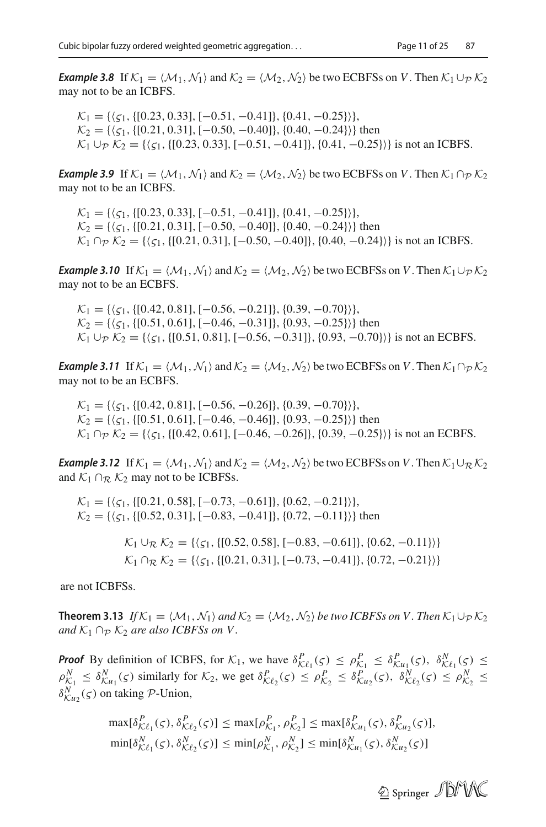*Example 3.8* If  $K_1 = \langle \mathcal{M}_1, \mathcal{N}_1 \rangle$  and  $K_2 = \langle \mathcal{M}_2, \mathcal{N}_2 \rangle$  be two ECBFSs on *V*. Then  $K_1 \cup_p K_2$ may not to be an ICBFS.

 $K_1 = {\{\zeta_1, \{[0.23, 0.33], [-0.51, -0.41]\}, \{0.41, -0.25\}\},}$  $K_2 = \{(\zeta_1, \{[0.21, 0.31], [-0.50, -0.40]\}, \{0.40, -0.24\})\}$  then  $K_1 \cup_P K_2 = \{ \langle \zeta_1, \{ [0.23, 0.33], [-0.51, -0.41] \}, \{ 0.41, -0.25 \} \rangle \}$  is not an ICBFS.

*Example 3.9* If  $K_1 = \langle M_1, N_1 \rangle$  and  $K_2 = \langle M_2, N_2 \rangle$  be two ECBFSs on *V*. Then  $K_1 \cap_P K_2$ may not to be an ICBFS.

 $K_1 = {\{\zeta_1, \{[0.23, 0.33], [-0.51, -0.41]\}, \{0.41, -0.25\}\},\}$  $K_2 = \{\langle 51, \{[0.21, 0.31], [-0.50, -0.40]\}, \{0.40, -0.24\}\}\}\$  then  $K_1$  ∩*p*  $K_2$  = { $\langle \zeta_1, \{[0.21, 0.31], [-0.50, -0.40] \}, \{0.40, -0.24\} \rangle$ } is not an ICBFS.

*Example 3.10* If  $K_1 = \langle M_1, N_1 \rangle$  and  $K_2 = \langle M_2, N_2 \rangle$  be two ECBFSs on *V*. Then  $K_1 \cup_P K_2$ may not to be an ECBFS.

 $K_1 = {\{\zeta_1, \{[0.42, 0.81], [-0.56, -0.21]\}, \{0.39, -0.70\}\},}$  $K_2 = \{\langle 51, \{[0.51, 0.61], [-0.46, -0.31]\}, \{0.93, -0.25\} \rangle \}$  then  $K_1 \cup_P K_2 = \{(\zeta_1, \{[0.51, 0.81], [-0.56, -0.31]\}, \{0.93, -0.70\}\}\$ is not an ECBFS.

*Example 3.11* If  $K_1 = \langle M_1, N_1 \rangle$  and  $K_2 = \langle M_2, N_2 \rangle$  be two ECBFSs on *V*. Then  $K_1 \cap_P K_2$ may not to be an ECBFS.

 $K_1 = {\{\zeta_1, \{[0.42, 0.81], [-0.56, -0.26]\}, \{0.39, -0.70\}\},}$  $K_2 = \{(\zeta_1, \{[0.51, 0.61], [-0.46, -0.46]\}, \{0.93, -0.25\}\}\$  then  $K_1 \cap_P K_2 = \{ \langle \zeta_1, \{ [0.42, 0.61], [-0.46, -0.26] \}, \{ 0.39, -0.25 \} \rangle \}$  is not an ECBFS.

*Example 3.12* If  $K_1 = \langle M_1, N_1 \rangle$  and  $K_2 = \langle M_2, N_2 \rangle$  be two ECBFSs on *V*. Then  $K_1 \cup_R K_2$ and  $K_1 \cap_R K_2$  may not to be ICBFSs.

$$
\mathcal{K}_1 = \{ (\zeta_1, \{ [0.21, 0.58], [-0.73, -0.61] \}, \{ 0.62, -0.21 \}) \},
$$
\n
$$
\mathcal{K}_2 = \{ (\zeta_1, \{ [0.52, 0.31], [-0.83, -0.41] \}, \{ 0.72, -0.11 \} \} \}
$$
 then\n
$$
\mathcal{K}_1 \cup_{\mathcal{R}} \mathcal{K}_2 = \{ (\zeta_1, \{ [0.52, 0.58], [-0.83, -0.61] \}, \{ 0.62, -0.11 \} \} \}
$$
\n
$$
\mathcal{K}_1 \cap_{\mathcal{R}} \mathcal{K}_2 = \{ (\zeta_1, \{ [0.21, 0.31], [-0.73, -0.41] \}, \{ 0.72, -0.21 \} \} \}
$$

are not ICBFSs.

**Theorem 3.13** *If*  $K_1 = \langle \mathcal{M}_1, \mathcal{N}_1 \rangle$  and  $K_2 = \langle \mathcal{M}_2, \mathcal{N}_2 \rangle$  be two ICBFSs on V. Then  $K_1 \cup_p K_2$ *and*  $K_1 \cap_P K_2$  *are also ICBFSs on V.* 

*Proof* By definition of ICBFS, for  $K_1$ , we have  $\delta_{\mathcal{K}\ell_1}^P(\varsigma) \leq \rho_{\mathcal{K}_1}^P \leq \delta_{\mathcal{K}\ell_1}^P(\varsigma)$ ,  $\delta_{\mathcal{K}\ell_1}^N(\varsigma) \leq$  $\rho_{\mathcal{K}_1}^N \leq \delta_{\mathcal{K}_u}^N(\varsigma)$  similarly for  $\mathcal{K}_2$ , we get  $\delta_{\mathcal{K}\ell_2}^P(\varsigma) \leq \rho_{\mathcal{K}_2}^P \leq \delta_{\mathcal{K}u_2}^P(\varsigma)$ ,  $\delta_{\mathcal{K}\ell_2}^N(\varsigma) \leq \rho_{\mathcal{K}_2}^N \leq$  $\delta_{\mathcal{K}u_2}^N(\varsigma)$  on taking *P*-Union,

$$
\max[\delta_{K\ell_1}^P(\varsigma), \delta_{K\ell_2}^P(\varsigma)] \le \max[\rho_{K_1}^P, \rho_{K_2}^P] \le \max[\delta_{K\mu_1}^P(\varsigma), \delta_{K\mu_2}^P(\varsigma)],
$$
  
\n
$$
\min[\delta_{K\ell_1}^N(\varsigma), \delta_{K\ell_2}^N(\varsigma)] \le \min[\rho_{K_1}^N, \rho_{K_2}^N] \le \min[\delta_{K\mu_1}^N(\varsigma), \delta_{K\mu_2}^N(\varsigma)]
$$

2 Springer JDMW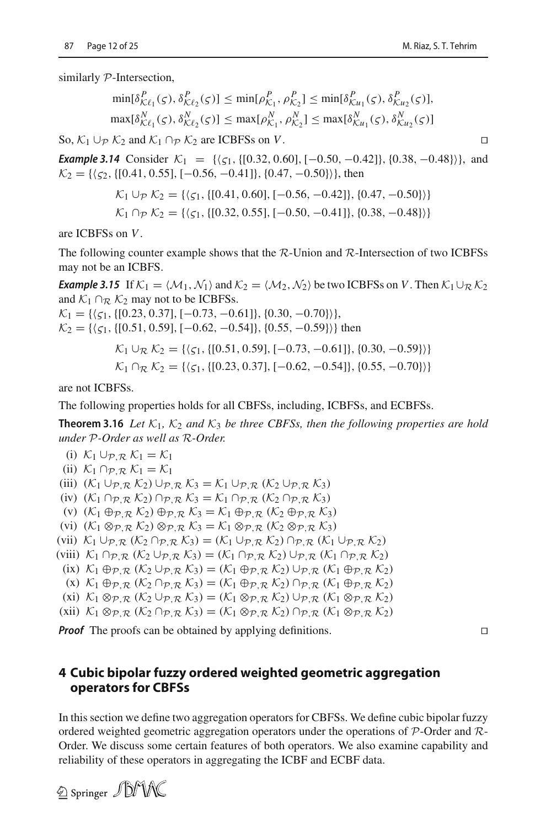similarly *P*-Intersection,

$$
\min[\delta_{\mathcal{K}\ell_1}^P(\varsigma), \delta_{\mathcal{K}\ell_2}^P(\varsigma)] \le \min[\rho_{\mathcal{K}_1}^P, \rho_{\mathcal{K}_2}^P] \le \min[\delta_{\mathcal{K}u_1}^P(\varsigma), \delta_{\mathcal{K}u_2}^P(\varsigma)],
$$
  

$$
\max[\delta_{\mathcal{K}\ell_1}^N(\varsigma), \delta_{\mathcal{K}\ell_2}^N(\varsigma)] \le \max[\rho_{\mathcal{K}_1}^N, \rho_{\mathcal{K}_2}^N] \le \max[\delta_{\mathcal{K}u_1}^N(\varsigma), \delta_{\mathcal{K}u_2}^N(\varsigma)]
$$

So,  $\mathcal{K}_1 \cup_P \mathcal{K}_2$  and  $\mathcal{K}_1 \cap_P \mathcal{K}_2$  are ICBFSs on *V*. □

*Example 3.14* Consider  $K_1 = \{(\zeta_1, \{[0.32, 0.60], [-0.50, -0.42]\}, \{0.38, -0.48\}\}\$ , and  $K_2 = \{\langle \zeta_2, \{[0.41, 0.55], [-0.56, -0.41]\}, \{0.47, -0.50\} \rangle\},\$ then

$$
\mathcal{K}_1 \cup_{\mathcal{P}} \mathcal{K}_2 = \{ \langle \zeta_1, \{ [0.41, 0.60], [-0.56, -0.42] \}, \{ 0.47, -0.50 \} \rangle \}
$$
\n
$$
\mathcal{K}_1 \cap_{\mathcal{P}} \mathcal{K}_2 = \{ \langle \zeta_1, \{ [0.32, 0.55], [-0.50, -0.41] \}, \{ 0.38, -0.48 \} \rangle \}
$$

are ICBFSs on *V*.

The following counter example shows that the *R*-Union and *R*-Intersection of two ICBFSs may not be an ICBFS.

*Example 3.15* If  $K_1 = \langle M_1, N_1 \rangle$  and  $K_2 = \langle M_2, N_2 \rangle$  be two ICBFSs on *V*. Then  $K_1 \cup_R K_2$ and  $K_1 \cap_R K_2$  may not to be ICBFSs.

 $K_1 = {\{\zeta_1, \{[0.23, 0.37], [-0.73, -0.61]\}, \{0.30, -0.70\}\},}$  $K_2 = \{(\zeta_1, \{[0.51, 0.59], [-0.62, -0.54]\}, \{0.55, -0.59\}\}\$  then

$$
\mathcal{K}_1 \cup_{\mathcal{R}} \mathcal{K}_2 = \{ \langle \varsigma_1, \{ [0.51, 0.59], [-0.73, -0.61] \}, \{ 0.30, -0.59 \} \rangle \}
$$
\n
$$
\mathcal{K}_1 \cap_{\mathcal{R}} \mathcal{K}_2 = \{ \langle \varsigma_1, \{ [0.23, 0.37], [-0.62, -0.54] \}, \{ 0.55, -0.70 \} \rangle \}
$$

are not ICBFSs.

The following properties holds for all CBFSs, including, ICBFSs, and ECBFSs.

**Theorem 3.16** Let  $K_1$ ,  $K_2$  and  $K_3$  be three CBFSs, then the following properties are hold *under P-Order as well as R-Order.*

(i) 
$$
K_1 \cup_{\mathcal{P}, \mathcal{R}} K_1 = K_1
$$
  
\n(ii)  $K_1 \cap_{\mathcal{P}, \mathcal{R}} K_1 = K_1$   
\n(iii)  $(K_1 \cup_{\mathcal{P}, \mathcal{R}} K_2) \cup_{\mathcal{P}, \mathcal{R}} K_3 = K_1 \cup_{\mathcal{P}, \mathcal{R}} (K_2 \cup_{\mathcal{P}, \mathcal{R}} K_3)$   
\n(iv)  $(K_1 \cap_{\mathcal{P}, \mathcal{R}} K_2) \cap_{\mathcal{P}, \mathcal{R}} K_3 = K_1 \cap_{\mathcal{P}, \mathcal{R}} (K_2 \cap_{\mathcal{P}, \mathcal{R}} K_3)$   
\n(v)  $(K_1 \oplus_{\mathcal{P}, \mathcal{R}} K_2) \oplus_{\mathcal{P}, \mathcal{R}} K_3 = K_1 \oplus_{\mathcal{P}, \mathcal{R}} (K_2 \oplus_{\mathcal{P}, \mathcal{R}} K_3)$   
\n(vi)  $(K_1 \otimes_{\mathcal{P}, \mathcal{R}} K_2) \otimes_{\mathcal{P}, \mathcal{R}} K_3 = K_1 \otimes_{\mathcal{P}, \mathcal{R}} (K_2 \otimes_{\mathcal{P}, \mathcal{R}} K_3)$   
\n(vii)  $K_1 \cup_{\mathcal{P}, \mathcal{R}} (K_2 \cap_{\mathcal{P}, \mathcal{R}} K_3) = (K_1 \cup_{\mathcal{P}, \mathcal{R}} K_2) \cap_{\mathcal{P}, \mathcal{R}} (K_1 \cup_{\mathcal{P}, \mathcal{R}} K_2)$   
\n(viii)  $K_1 \cap_{\mathcal{P}, \mathcal{R}} (K_2 \cup_{\mathcal{P}, \mathcal{R}} K_3) = (K_1 \cap_{\mathcal{P}, \mathcal{R}} K_2) \cup_{\mathcal{P}, \mathcal{R}} (K_1 \cap_{\mathcal{P}, \mathcal{R}} K_2)$   
\n(ix)  $K_1 \oplus_{\mathcal{P}, \mathcal{R}} (K_2 \cup_{\mathcal{P}, \mathcal{R}} K_3) = (K_1 \oplus_{\mathcal{P}, \mathcal{R}} K_2) \cup_{\mathcal{P}, \mathcal{R}} (K_1 \$ 

(x) *K*<sup>1</sup> ⊕*P*,*<sup>R</sup>* (*K*<sup>2</sup> ∩*P*,*<sup>R</sup> K*3) = (*K*<sup>1</sup> ⊕*P*,*<sup>R</sup> K*2) ∩*P*,*<sup>R</sup>* (*K*<sup>1</sup> ⊕*P*,*<sup>R</sup> K*2)

 $(\text{xi})$   $\mathcal{K}_1 \otimes_{\mathcal{P}, \mathcal{R}} (\mathcal{K}_2 \cup_{\mathcal{P}, \mathcal{R}} \mathcal{K}_3) = (\mathcal{K}_1 \otimes_{\mathcal{P}, \mathcal{R}} \mathcal{K}_2) \cup_{\mathcal{P}, \mathcal{R}} (\mathcal{K}_1 \otimes_{\mathcal{P}, \mathcal{R}} \mathcal{K}_2)$ 

```
(xii) K1 ⊗P,R (K2 ∩P,R K3) = (K1 ⊗P,R K2) ∩P,R (K1 ⊗P,R K2)
```
*Proof* The proofs can be obtained by applying definitions.

## <span id="page-11-0"></span>**4 Cubic bipolar fuzzy ordered weighted geometric aggregation operators for CBFSs**

In this section we define two aggregation operators for CBFSs. We define cubic bipolar fuzzy ordered weighted geometric aggregation operators under the operations of *P*-Order and *R*-Order. We discuss some certain features of both operators. We also examine capability and reliability of these operators in aggregating the ICBF and ECBF data.

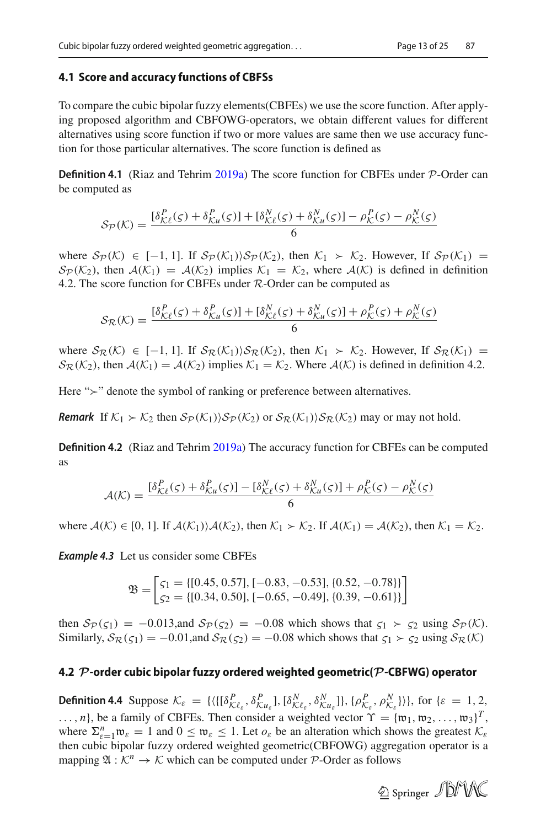#### **4.1 Score and accuracy functions of CBFSs**

To compare the cubic bipolar fuzzy elements(CBFEs) we use the score function. After applying proposed algorithm and CBFOWG-operators, we obtain different values for different alternatives using score function if two or more values are same then we use accuracy function for those particular alternatives. The score function is defined as

**Definition 4.1** (Riaz and Tehri[m](#page-23-16) [2019a](#page-23-16)) The score function for CBFEs under *P*-Order can be computed as

$$
\mathcal{S}_{\mathcal{P}}(\mathcal{K}) = \frac{\left[\delta_{\mathcal{K}\ell}^P(\varsigma) + \delta_{\mathcal{K}u}^P(\varsigma)\right] + \left[\delta_{\mathcal{K}\ell}^N(\varsigma) + \delta_{\mathcal{K}u}^N(\varsigma)\right] - \rho_{\mathcal{K}}^P(\varsigma) - \rho_{\mathcal{K}}^N(\varsigma)}{6}
$$

where  $S_P(K)$  ∈ [−1, 1]. If  $S_P(K_1)$ *\* $S_P(K_2)$ , then  $K_1$  ≻  $K_2$ . However, If  $S_P(K_1)$  =  $S_P(\mathcal{K}_2)$ , then  $A(\mathcal{K}_1) = A(\mathcal{K}_2)$  implies  $\mathcal{K}_1 = \mathcal{K}_2$ , where  $A(\mathcal{K})$  is defined in definition 4.2. The score function for CBFEs under *R*-Order can be computed as

$$
\mathcal{S}_{\mathcal{R}}(\mathcal{K}) = \frac{\left[\delta_{\mathcal{K}\ell}^{P}(\varsigma) + \delta_{\mathcal{K}u}^{P}(\varsigma)\right] + \left[\delta_{\mathcal{K}\ell}^{N}(\varsigma) + \delta_{\mathcal{K}u}^{N}(\varsigma)\right] + \rho_{\mathcal{K}}^{P}(\varsigma) + \rho_{\mathcal{K}}^{N}(\varsigma)}{6}
$$

where  $S_R(K)$  ∈ [−1, 1]. If  $S_R(K_1)$ *\* $S_R(K_2)$ , then  $K_1$  ≻  $K_2$ . However, If  $S_R(K_1)$  =  $S_R(\mathcal{K}_2)$ , then  $\mathcal{A}(\mathcal{K}_1) = \mathcal{A}(\mathcal{K}_2)$  implies  $\mathcal{K}_1 = \mathcal{K}_2$ . Where  $\mathcal{A}(\mathcal{K})$  is defined in definition 4.2.

Here " $\geq$ " denote the symbol of ranking or preference between alternatives.

*Remark* If  $K_1 \succ K_2$  then  $S_P(K_1) \setminus S_P(K_2)$  or  $S_R(K_1) \setminus S_R(K_2)$  may or may not hold.

**Definition 4.2** (Riaz and Tehri[m](#page-23-16) [2019a\)](#page-23-16) The accuracy function for CBFEs can be computed as

$$
\mathcal{A}(\mathcal{K}) = \frac{\left[\delta_{\mathcal{K}\ell}^P(\varsigma) + \delta_{\mathcal{K}u}^P(\varsigma)\right] - \left[\delta_{\mathcal{K}\ell}^N(\varsigma) + \delta_{\mathcal{K}u}^N(\varsigma)\right] + \rho_{\mathcal{K}}^P(\varsigma) - \rho_{\mathcal{K}}^N(\varsigma)}{6}
$$

where  $A(K) \in [0, 1]$ . If  $A(K_1) \setminus A(K_2)$ , then  $K_1 \succ K_2$ . If  $A(K_1) = A(K_2)$ , then  $K_1 = K_2$ .

*Example 4.3* Let us consider some CBFEs

$$
\mathfrak{B} = \begin{bmatrix} \zeta_1 = \{ [0.45, 0.57], [-0.83, -0.53], \{ 0.52, -0.78 \} \} \\ \zeta_2 = \{ [0.34, 0.50], [-0.65, -0.49], \{ 0.39, -0.61 \} \} \end{bmatrix}
$$

then  $S_P(\zeta_1) = -0.013$ , and  $S_P(\zeta_2) = -0.08$  which shows that  $\zeta_1 > \zeta_2$  using  $S_P(\mathcal{K})$ . Similarly,  $S_{\mathcal{R}}(\zeta_1) = -0.01$ , and  $S_{\mathcal{R}}(\zeta_2) = -0.08$  which shows that  $\zeta_1 > \zeta_2$  using  $S_{\mathcal{R}}(\mathcal{K})$ 

### **4.2** *P***-order cubic bipolar fuzzy ordered weighted geometric(***P***-CBFWG) operator**

**Definition 4.4** Suppose  $\mathcal{K}_{\varepsilon} = \{ \langle \{ [\delta^P_{\mathcal{K}\ell_{\varepsilon}}, \delta^P_{\mathcal{K}u_{\varepsilon}}], [\delta^N_{\mathcal{K}\ell_{\varepsilon}}, \delta^N_{\mathcal{K}u_{\varepsilon}}] \} , \{ \rho^P_{\mathcal{K}_{\varepsilon}}, \rho^N_{\mathcal{K}_{\varepsilon}} \} \rangle \}, \text{ for } \{ \varepsilon = 1, 2, ...$  $\ldots$ , *n*}, be a family of CBFEs. Then consider a weighted vector  $\Upsilon = {\mathfrak{w}}_1, {\mathfrak{w}}_2, \ldots, {\mathfrak{w}}_3$ <sup>T</sup>, where  $\sum_{\varepsilon=1}^n \mathfrak{w}_{\varepsilon} = 1$  and  $0 \le \mathfrak{w}_{\varepsilon} \le 1$ . Let  $o_{\varepsilon}$  be an alteration which shows the greatest  $K_{\varepsilon}$ then cubic bipolar fuzzy ordered weighted geometric(CBFOWG) aggregation operator is a mapping  $\mathfrak{A}: \mathcal{K}^n \to \mathcal{K}$  which can be computed under P-Order as follows

2 Springer JDMX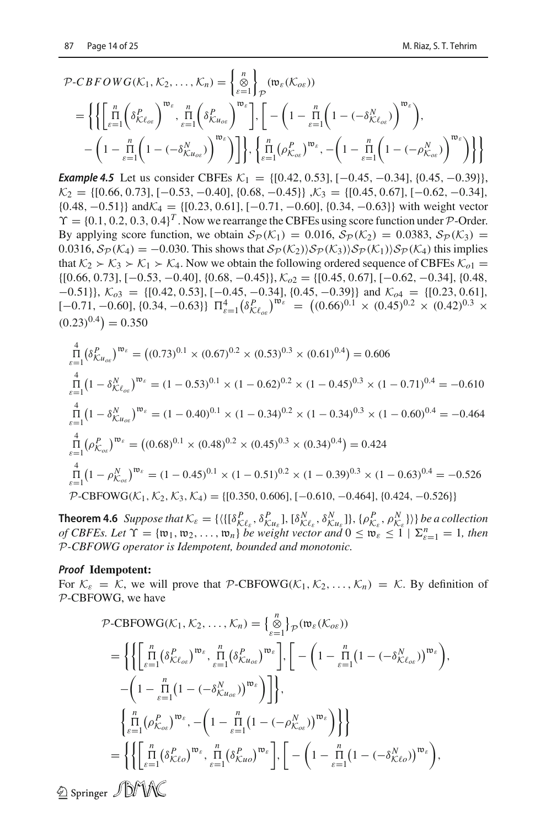$$
\mathcal{P}\text{-}CBFOWG(\mathcal{K}_1, \mathcal{K}_2, \dots, \mathcal{K}_n) = \left\{ \sum_{\varepsilon=1}^n \right\} \mathcal{D}(\mathfrak{w}_{\varepsilon}(\mathcal{K}_{\sigma\varepsilon}))
$$
\n
$$
= \left\{ \left\{ \left[ \prod_{\varepsilon=1}^n \left( \delta_{\mathcal{K}\ell_{\sigma\varepsilon}}^P \right)^{\mathfrak{w}_{\varepsilon}}, \prod_{\varepsilon=1}^n \left( \delta_{\mathcal{K}u_{\sigma\varepsilon}}^P \right)^{\mathfrak{w}_{\varepsilon}} \right], \left[ -\left( 1 - \prod_{\varepsilon=1}^n \left( 1 - \left( -\delta_{\mathcal{K}\ell_{\sigma\varepsilon}}^N \right)^{\mathfrak{w}_{\varepsilon}} \right) \right), \right. \\ \left. - \left( 1 - \prod_{\varepsilon=1}^n \left( 1 - \left( -\delta_{\mathcal{K}u_{\sigma\varepsilon}}^N \right)^{\mathfrak{w}_{\varepsilon}} \right) \right] \right\}, \left\{ \prod_{\varepsilon=1}^n (\rho_{\mathcal{K}_{\sigma\varepsilon}}^P)^{\mathfrak{w}_{\varepsilon}}, -\left( 1 - \prod_{\varepsilon=1}^n \left( 1 - \left( -\rho_{\mathcal{K}_{\sigma\varepsilon}}^N \right)^{\mathfrak{w}_{\varepsilon}} \right) \right) \right\} \right\}
$$

*Example 4.5* Let us consider CBFEs  $K_1 = \{[0.42, 0.53], [-0.45, -0.34], \{0.45, -0.39\}\},\$ *K*<sub>2</sub> = {[0.66, 0.73], [−0.53, −0.40], {0.68, −0.45}} ,*K*<sub>3</sub> = {[0.45, 0.67], [−0.62, −0.34], {0.48, −0.51}} and*K*<sup>4</sup> = {[0.23, 0.61],[−0.71, −0.60],{0.34, −0.63}} with weight vector  $\Upsilon = \{0.1, 0.2, 0.3, 0.4\}^T$ . Now we rearrange the CBFEs using score function under *P*-Order. By applying score function, we obtain  $S_P(K_1) = 0.016$ ,  $S_P(K_2) = 0.0383$ ,  $S_P(K_3) =$ 0.0316,  $S_P(\mathcal{K}_4) = -0.030$ . This shows that  $S_P(\mathcal{K}_2) \setminus S_P(\mathcal{K}_3) \setminus S_P(\mathcal{K}_1) \setminus S_P(\mathcal{K}_4)$  this implies that  $K_2 \succ K_3 \succ K_1 \succ K_4$ . Now we obtain the following ordered sequence of CBFEs  $K_{01}$  = {[0.66, 0.73],[−0.53, −0.40],{0.68, −0.45}}, *Ko*<sup>2</sup> = {[0.45, 0.67],[−0.62, −0.34],{0.48, −0.51}}, *Ko*<sup>3</sup> = {[0.42, 0.53],[−0.45, −0.34],{0.45, −0.39}} and *Ko*<sup>4</sup> = {[0.23, 0.61],  $[-0.71, -0.60], \{0.34, -0.63\}$   $\Pi_{\varepsilon=1}^4 (\delta_{\mathcal{K}_{\varepsilon_0}}^P)^{\mathfrak{w}_{\varepsilon}} = ((0.66)^{0.1} \times (0.45)^{0.2} \times (0.42)^{0.3} \times$  $(0.23)^{0.4}$  = 0.350

$$
\prod_{\varepsilon=1}^{4} (\delta_{\mathcal{K}u_{o\varepsilon}}^{P})^{\mathfrak{w}_{\varepsilon}} = ((0.73)^{0.1} \times (0.67)^{0.2} \times (0.53)^{0.3} \times (0.61)^{0.4}) = 0.606
$$
\n
$$
\prod_{\varepsilon=1}^{4} (1 - \delta_{\mathcal{K}t_{o\varepsilon}}^{N})^{\mathfrak{w}_{\varepsilon}} = (1 - 0.53)^{0.1} \times (1 - 0.62)^{0.2} \times (1 - 0.45)^{0.3} \times (1 - 0.71)^{0.4} = -0.610
$$
\n
$$
\prod_{\varepsilon=1}^{4} (1 - \delta_{\mathcal{K}u_{o\varepsilon}}^{N})^{\mathfrak{w}_{\varepsilon}} = (1 - 0.40)^{0.1} \times (1 - 0.34)^{0.2} \times (1 - 0.34)^{0.3} \times (1 - 0.60)^{0.4} = -0.464
$$
\n
$$
\prod_{\varepsilon=1}^{4} (\rho_{\mathcal{K}_{o\varepsilon}}^{P})^{\mathfrak{w}_{\varepsilon}} = ((0.68)^{0.1} \times (0.48)^{0.2} \times (0.45)^{0.3} \times (0.34)^{0.4}) = 0.424
$$
\n
$$
\prod_{\varepsilon=1}^{4} (1 - \rho_{\mathcal{K}_{o\varepsilon}}^{N})^{\mathfrak{w}_{\varepsilon}} = (1 - 0.45)^{0.1} \times (1 - 0.51)^{0.2} \times (1 - 0.39)^{0.3} \times (1 - 0.63)^{0.4} = -0.526
$$
\n
$$
\text{P-CBFOWG}(\mathcal{K}_1, \mathcal{K}_2, \mathcal{K}_3, \mathcal{K}_4) = \{[0.350, 0.606], [-0.610, -0.464], \{0.424, -0.526\}\}
$$

**Theorem 4.6** Suppose that  $\mathcal{K}_{\varepsilon} = \{ (\{[\delta_{\mathcal{K}_{\varepsilon}}^P, \delta_{\mathcal{K}_{u_{\varepsilon}}}^P], [\delta_{\mathcal{K}_{\varepsilon}}^N, \delta_{\mathcal{K}_{u_{\varepsilon}}}^N]\}, \{\rho_{\mathcal{K}_{\varepsilon}}^P, \rho_{\mathcal{K}_{\varepsilon}}^N\} \})$  be a collection *of CBFEs. Let*  $\Upsilon = {\mathfrak{w}_1, \mathfrak{w}_2, ..., \mathfrak{w}_n}$  *be weight vector and*  $0 \leq \mathfrak{w}_{\varepsilon} \leq 1 | \Sigma_{\varepsilon=1}^n = 1$ , then *P-CBFOWG operator is Idempotent, bounded and monotonic.*

#### *Proof* **Idempotent:**

For  $K_{\varepsilon} = \mathcal{K}$ , we will prove that  $\mathcal{P}\text{-CBFOWG}(\mathcal{K}_1, \mathcal{K}_2, \dots, \mathcal{K}_n) = \mathcal{K}$ . By definition of *P*-CBFOWG, we have

$$
\mathcal{P}\text{-CBFOWG}(K_1, K_2, \dots, K_n) = \left\{ \sum_{\varepsilon=1}^n \right\} \mathcal{P} \left( \mathfrak{w}_{\varepsilon}(K_{o\varepsilon}) \right)
$$
\n
$$
= \left\{ \left\{ \left[ \prod_{\varepsilon=1}^n (\delta_{\mathcal{K}\ell_{o\varepsilon}}^P)^{\mathfrak{w}_{\varepsilon}}, \prod_{\varepsilon=1}^n (\delta_{\mathcal{K}u_{o\varepsilon}}^P)^{\mathfrak{w}_{\varepsilon}} \right], \left[ -\left( 1 - \prod_{\varepsilon=1}^n (1 - (-\delta_{\mathcal{K}\ell_{o\varepsilon}}^N))^{\mathfrak{w}_{\varepsilon}} \right), -\left( 1 - \prod_{\varepsilon=1}^n (1 - (-\delta_{\mathcal{K}u_{o\varepsilon}}^N))^{\mathfrak{w}_{\varepsilon}} \right) \right] \right\},
$$
\n
$$
\left\{ \prod_{\varepsilon=1}^n (\rho_{\mathcal{K}_{o\varepsilon}}^P)^{\mathfrak{w}_{\varepsilon}}, -\left( 1 - \prod_{\varepsilon=1}^n (1 - (-\rho_{\mathcal{K}_{o\varepsilon}}^N))^{\mathfrak{w}_{\varepsilon}} \right) \right\} \right\}
$$
\n
$$
= \left\{ \left\{ \left[ \prod_{\varepsilon=1}^n (\delta_{\mathcal{K}\ell_{o}}^P)^{\mathfrak{w}_{\varepsilon}}, \prod_{\varepsilon=1}^n (\delta_{\mathcal{K}u_{o}}^P)^{\mathfrak{w}_{\varepsilon}} \right], \left[ -\left( 1 - \prod_{\varepsilon=1}^n (1 - (-\delta_{\mathcal{K}\ell_{o}}^N))^{\mathfrak{w}_{\varepsilon}} \right), \right]
$$
\n
$$
\text{INMAW}
$$

 $\mathscr{D}$  Springer  $\mathscr{D} \mathscr{D} \mathscr{U} \mathscr{V}$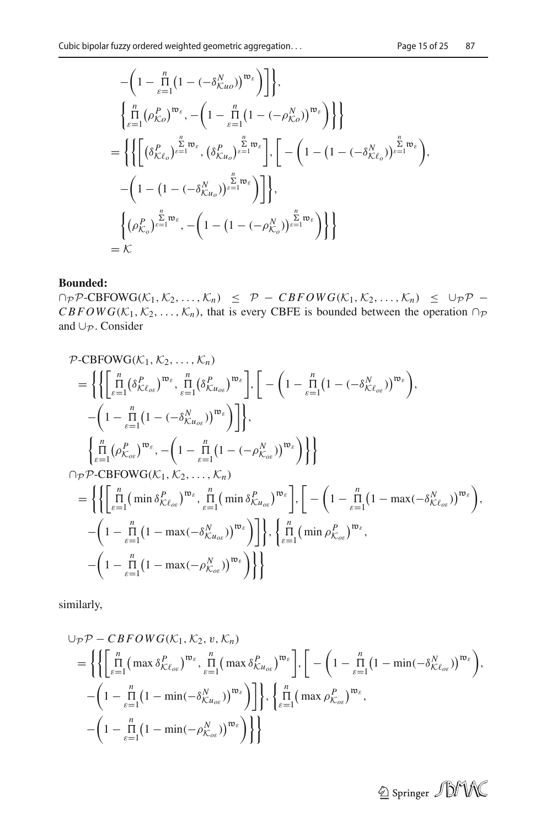$$
-\left(1 - \prod_{\varepsilon=1}^{n} \left(1 - \left(-\delta_{Ku_{\varepsilon}}^{N}\right)^{\mathfrak{w}_{\varepsilon}}\right)\right]\right\},\
$$
  

$$
\left\{\prod_{\varepsilon=1}^{n} \left(\rho_{K\varepsilon}^{P}\right)^{\mathfrak{w}_{\varepsilon}}, -\left(1 - \prod_{\varepsilon=1}^{n} \left(1 - \left(-\rho_{K\varepsilon}^{N}\right)^{\mathfrak{w}_{\varepsilon}}\right)\right\}\right\}
$$
  

$$
=\left\{\left\{\left[\left(\delta_{K\ell_{\varepsilon}}^{P}\right)^{\frac{p}{\varepsilon-1}\mathfrak{w}_{\varepsilon}}, \left(\delta_{Ku_{\varepsilon}}^{P}\right)^{\frac{p}{\varepsilon-1}\mathfrak{w}_{\varepsilon}}\right], \left[-\left(1 - \left(1 - \left(-\delta_{K\ell_{\varepsilon}}^{N}\right)^{\frac{p}{\varepsilon-1}\mathfrak{w}_{\varepsilon}}\right), \right.\right.
$$
  

$$
-\left(1 - \left(1 - \left(-\delta_{Ku_{\varepsilon}}^{N}\right)^{\frac{p}{\varepsilon-1}\mathfrak{w}_{\varepsilon}}\right)\right]\right\},\
$$
  

$$
\left\{\left(\rho_{K_{\varepsilon}}^{P}\right)^{\frac{p}{\varepsilon-1}\mathfrak{w}_{\varepsilon}}, -\left(1 - \left(1 - \left(-\rho_{K_{\varepsilon}}^{N}\right)^{\frac{p}{\varepsilon-1}\mathfrak{w}_{\varepsilon}}\right)\right)\right\}
$$
  

$$
= K
$$

#### **Bounded:**

 $\cap_{\mathcal{P}} \mathcal{P}$ -CBFOWG( $K_1, K_2, ..., K_n$ )  $\leq \mathcal{P}$  –  $CBFOWG(K_1, K_2, ..., K_n) \leq \cup_{\mathcal{P}} \mathcal{P}$  – *CBFOWG*( $K_1, K_2, \ldots, K_n$ ), that is every CBFE is bounded between the operation ∩*P* and ∪*<sup>P</sup>* . Consider

$$
\mathcal{P}\text{-CBFOWG}(K_1, K_2, ..., K_n)
$$
\n
$$
= \left\{ \left\{ \left[ \prod_{\epsilon=1}^n (\delta_{K\ell_{o\epsilon}}^P)^{\mathfrak{w}_{\epsilon}}, \prod_{\epsilon=1}^n (\delta_{K\mu_{o\epsilon}}^P)^{\mathfrak{w}_{\epsilon}} \right], \left[ -\left( 1 - \prod_{\epsilon=1}^n (1 - (-\delta_{K\ell_{o\epsilon}}^N))^{\mathfrak{w}_{\epsilon}} \right), -\left( 1 - \prod_{\epsilon=1}^n (1 - (-\delta_{K\mu_{o\epsilon}}^N))^{\mathfrak{w}_{\epsilon}} \right) \right] \right\},
$$
\n
$$
\left\{ \prod_{\epsilon=1}^n (\rho_{K_{o\epsilon}}^P)^{\mathfrak{w}_{\epsilon}}, -\left( 1 - \prod_{\epsilon=1}^n (1 - (-\rho_{K_{o\epsilon}}^N))^{\mathfrak{w}_{\epsilon}} \right) \right\} \right\}
$$
\n
$$
\cap \mathcal{P}\mathcal{P}\text{-CBFOWG}(K_1, K_2, ..., K_n)
$$
\n
$$
= \left\{ \left\{ \left[ \prod_{\epsilon=1}^n (\min \delta_{K\ell_{o\epsilon}}^P)^{\mathfrak{w}_{\epsilon}}, \prod_{\epsilon=1}^n (\min \delta_{K\mu_{o\epsilon}}^P)^{\mathfrak{w}_{\epsilon}} \right], \left[ -\left( 1 - \prod_{\epsilon=1}^n (1 - \max(-\delta_{K\ell_{o\epsilon}}^N))^{\mathfrak{w}_{\epsilon}} \right), -\left( 1 - \prod_{\epsilon=1}^n (1 - \max(-\delta_{K\mu_{o\epsilon}}^N))^{\mathfrak{w}_{\epsilon}} \right) \right] \right\}, \left\{ \prod_{\epsilon=1}^n (\min \rho_{K_{o\epsilon}}^P)^{\mathfrak{w}_{\epsilon}}, -\left( 1 - \prod_{\epsilon=1}^n (1 - \max(-\rho_{K_{o\epsilon}}^N))^{\mathfrak{w}_{\epsilon}} \right) \right\} \right\}
$$

similarly,

$$
\bigcup_{\mathcal{P}} \mathcal{P} - CBFOWG(\mathcal{K}_1, \mathcal{K}_2, v, \mathcal{K}_n)
$$
\n
$$
= \left\{ \left\{ \left[ \prod_{\varepsilon=1}^n \left( \max \delta_{\mathcal{K}\ell_{\alpha\varepsilon}}^P \right)^{\mathfrak{w}_{\varepsilon}}, \prod_{\varepsilon=1}^n \left( \max \delta_{\mathcal{K}u_{\alpha\varepsilon}}^P \right)^{\mathfrak{w}_{\varepsilon}} \right], \left[ -\left( 1 - \prod_{\varepsilon=1}^n \left( 1 - \min(-\delta_{\mathcal{K}\ell_{\alpha\varepsilon}}^N) \right)^{\mathfrak{w}_{\varepsilon}} \right) \right], -\left( 1 - \prod_{\varepsilon=1}^n \left( 1 - \min(-\delta_{\mathcal{K}u_{\alpha\varepsilon}}^N) \right)^{\mathfrak{w}_{\varepsilon}} \right) \right\}, \left\{ \prod_{\varepsilon=1}^n \left( \max \rho_{\mathcal{K}_{\alpha\varepsilon}}^P \right)^{\mathfrak{w}_{\varepsilon}}, -\left( 1 - \prod_{\varepsilon=1}^n \left( 1 - \min(-\rho_{\mathcal{K}_{\alpha\varepsilon}}^N) \right)^{\mathfrak{w}_{\varepsilon}} \right) \right\} \right\}
$$

 $\underline{\mathbin{\circledcirc}}$  Springer  $\mathcal{J}\text{DMM}\text{C}$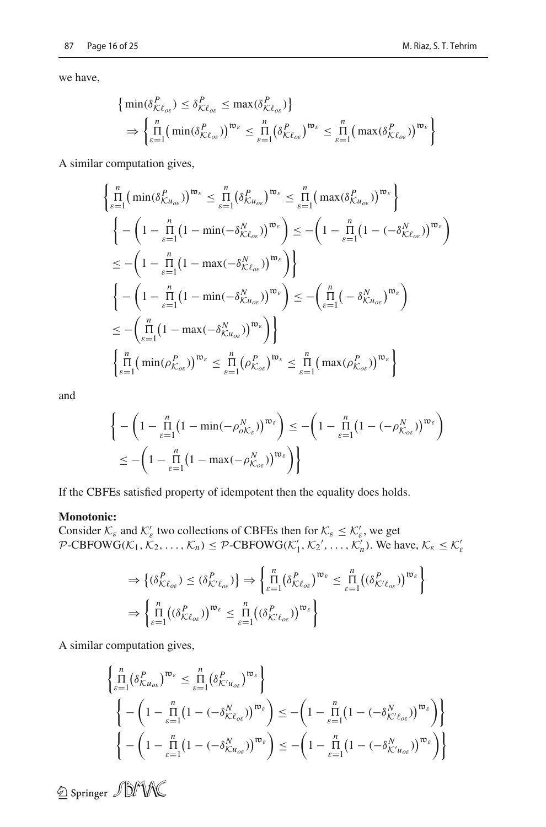we have,

$$
\left\{\min(\delta_{\mathcal{K}\ell_{oe}}^P) \leq \delta_{\mathcal{K}\ell_{oe}}^P \leq \max(\delta_{\mathcal{K}\ell_{oe}}^P)\right\}
$$
  
\n
$$
\Rightarrow \left\{\prod_{\varepsilon=1}^n \left(\min(\delta_{\mathcal{K}\ell_{oe}}^P)\right)^{\mathfrak{w}_{\varepsilon}} \leq \prod_{\varepsilon=1}^n \left(\delta_{\mathcal{K}\ell_{oe}}^P\right)^{\mathfrak{w}_{\varepsilon}} \leq \prod_{\varepsilon=1}^n \left(\max(\delta_{\mathcal{K}\ell_{oe}}^P)\right)^{\mathfrak{w}_{\varepsilon}}\right\}
$$

A similar computation gives,

$$
\begin{aligned}\n&\left\{\frac{n}{\epsilon-1}\left(\min(\delta_{\mathcal{K}u_{oe}}^{P}\right)\right)^{\mathfrak{w}_{\varepsilon}} \leq \frac{n}{\epsilon-1}\left(\delta_{\mathcal{K}u_{oe}}^{P}\right)^{\mathfrak{w}_{\varepsilon}} \leq \frac{n}{\epsilon-1}\left(\max(\delta_{\mathcal{K}u_{oe}}^{P}\right)\right)^{\mathfrak{w}_{\varepsilon}}\right\} \\
&\left\{-\left(1-\frac{n}{\epsilon-1}\left(1-\min(-\delta_{\mathcal{K}\ell_{oe}}^{N})\right)^{\mathfrak{w}_{\varepsilon}}\right) \leq -\left(1-\frac{n}{\epsilon-1}\left(1-(-\delta_{\mathcal{K}\ell_{oe}}^{N})\right)^{\mathfrak{w}_{\varepsilon}}\right)\right. \\
&\leq -\left(1-\frac{n}{\epsilon-1}\left(1-\max(-\delta_{\mathcal{K}\ell_{oe}}^{N})\right)^{\mathfrak{w}_{\varepsilon}}\right)\right\} \\
&\left\{-\left(1-\frac{n}{\epsilon-1}\left(1-\min(-\delta_{\mathcal{K}u_{oe}}^{N})\right)^{\mathfrak{w}_{\varepsilon}}\right)\right\} \\
&\leq -\left(\frac{n}{\epsilon-1}\left(1-\min(-\delta_{\mathcal{K}u_{oe}}^{N})\right)^{\mathfrak{w}_{\varepsilon}}\right) \leq -\left(\frac{n}{\epsilon-1}\left(-\delta_{\mathcal{K}u_{oe}}^{N}\right)^{\mathfrak{w}_{\varepsilon}}\right) \\
&\leq -\left(\frac{n}{\epsilon-1}\left(1-\max(-\delta_{\mathcal{K}u_{oe}}^{N})\right)^{\mathfrak{w}_{\varepsilon}}\right)\right\} \\
&\left\{\frac{n}{\epsilon-1}\left(\min(\rho_{\mathcal{K}_{oe}}^{P})\right)^{\mathfrak{w}_{\varepsilon}} \leq \frac{n}{\epsilon-1}\left(\rho_{\mathcal{K}_{oe}}^{P}\right)^{\mathfrak{w}_{\varepsilon}} \leq \frac{n}{\epsilon-1}\left(\max(\rho_{\mathcal{K}_{oe}}^{P})\right)^{\mathfrak{w}_{\varepsilon}}\right\}\n\end{aligned}
$$

and

$$
\left\{ -\left(1 - \prod_{\varepsilon=1}^{n} \left(1 - \min(-\rho_{oK_{\varepsilon}}^{N})\right)^{\mathfrak{w}_{\varepsilon}}\right) \le -\left(1 - \prod_{\varepsilon=1}^{n} \left(1 - (-\rho_{K_{o\varepsilon}}^{N})\right)^{\mathfrak{w}_{\varepsilon}}\right) \right\}
$$
  

$$
\le -\left(1 - \prod_{\varepsilon=1}^{n} \left(1 - \max(-\rho_{K_{o\varepsilon}}^{N})\right)^{\mathfrak{w}_{\varepsilon}}\right)\right\}
$$

If the CBFEs satisfied property of idempotent then the equality does holds.

### **Monotonic:**

Consider  $\mathcal{K}_{\varepsilon}$  and  $\mathcal{K}'_{\varepsilon}$  two collections of CBFEs then for  $\mathcal{K}_{\varepsilon} \leq \mathcal{K}'_{\varepsilon}$ , we get  $P\text{-}CBFOWG(\mathcal{K}_1, \mathcal{K}_2, \ldots, \mathcal{K}_n) \leq P\text{-}CBFOWG(\mathcal{K}'_1, \mathcal{K}_2', \ldots, \mathcal{K}'_n)$ . We have,  $\mathcal{K}_{\varepsilon} \leq \mathcal{K}'_{\varepsilon}$ 

$$
\Rightarrow \left\{ (\delta_{\mathcal{K}\ell_{oe}}^P) \leq (\delta_{\mathcal{K}'\ell_{oe}}^P) \right\} \Rightarrow \left\{ \prod_{\varepsilon=1}^n (\delta_{\mathcal{K}\ell_{oe}}^P)^{\mathfrak{w}_{\varepsilon}} \leq \prod_{\varepsilon=1}^n ((\delta_{\mathcal{K}'\ell_{oe}}^P)^{\mathfrak{w}_{\varepsilon}} \right\}
$$

$$
\Rightarrow \left\{ \prod_{\varepsilon=1}^n ((\delta_{\mathcal{K}\ell_{oe}}^P)^{\mathfrak{w}_{\varepsilon}} \leq \prod_{\varepsilon=1}^n ((\delta_{\mathcal{K}'\ell_{oe}}^P)^{\mathfrak{w}_{\varepsilon}} \right\}
$$

A similar computation gives,

$$
\begin{aligned}\n&\left\{\n\prod_{\varepsilon=1}^{n} \left(\delta_{\mathcal{K}u_{o\varepsilon}}^{P}\right)^{\mathfrak{w}_{\varepsilon}} \leq \n\prod_{\varepsilon=1}^{n} \left(\delta_{\mathcal{K}'u_{o\varepsilon}}^{P}\right)^{\mathfrak{w}_{\varepsilon}}\n\right\} \\
&\left\{\n-\left(1 - \prod_{\varepsilon=1}^{n} \left(1 - \left(-\delta_{\mathcal{K}v_{o\varepsilon}}^{N}\right)\right)^{\mathfrak{w}_{\varepsilon}}\right) \leq \n-\left(1 - \prod_{\varepsilon=1}^{n} \left(1 - \left(-\delta_{\mathcal{K}'v_{o\varepsilon}}^{N}\right)\right)^{\mathfrak{w}_{\varepsilon}}\right)\n\right\} \\
&\left\{\n-\left(1 - \prod_{\varepsilon=1}^{n} \left(1 - \left(-\delta_{\mathcal{K}u_{o\varepsilon}}^{N}\right)\right)^{\mathfrak{w}_{\varepsilon}}\right) \leq \n-\left(1 - \prod_{\varepsilon=1}^{n} \left(1 - \left(-\delta_{\mathcal{K}'u_{o\varepsilon}}^{N}\right)\right)^{\mathfrak{w}_{\varepsilon}}\right)\n\right\}\n\end{aligned}
$$

 $\circledcirc$  Springer  $\mathcal{J}$ DMK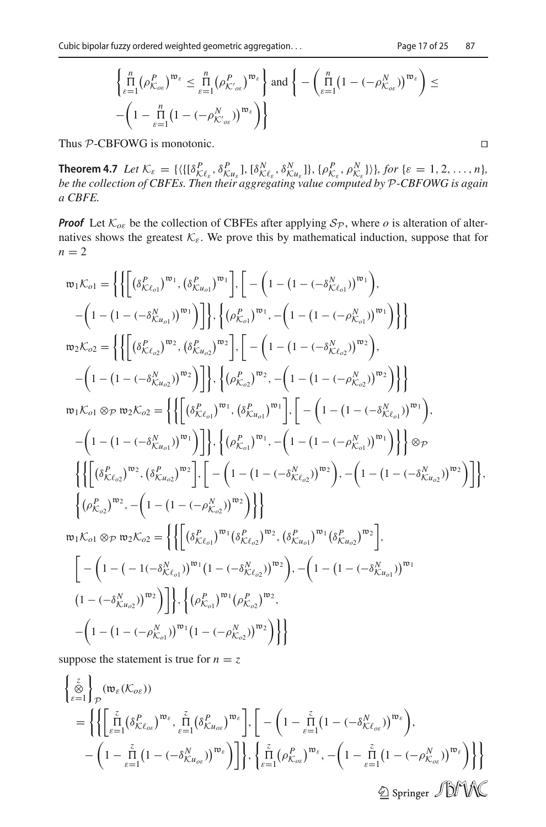$$
\left\{\n\prod_{\varepsilon=1}^{n} (\rho_{\mathcal{K}_{\alpha\varepsilon}}^P)^{\mathfrak{w}_{\varepsilon}} \leq \prod_{\varepsilon=1}^{n} (\rho_{\mathcal{K}_{\alpha\varepsilon}}^P)^{\mathfrak{w}_{\varepsilon}}\n\right\}\n\text{ and }\n\left\{\n-\left(\n\prod_{\varepsilon=1}^{n} (1 - (-\rho_{\mathcal{K}_{\alpha\varepsilon}}^N))^{\mathfrak{w}_{\varepsilon}}\right) \leq\n-\left(1 - \prod_{\varepsilon=1}^{n} (1 - (-\rho_{\mathcal{K}_{\alpha\varepsilon}}^N))^{\mathfrak{w}_{\varepsilon}}\right)\n\right\}
$$

Thus *P*-CBFOWG is monotonic.

**Theorem 4.7** Let  $\mathcal{K}_{\varepsilon} = \{ (\{[\delta_{\mathcal{K}}^P \epsilon_{\varepsilon}, \delta_{\mathcal{K}}^P \epsilon_{\iota_{\varepsilon}}], [\delta_{\mathcal{K}}^N \epsilon_{\varepsilon}, \delta_{\mathcal{K}}^N \epsilon_{\iota_{\varepsilon}}]\}, \{\rho_{\mathcal{K}_{\varepsilon}}^P, \rho_{\mathcal{K}_{\varepsilon}}^N \})\}, \text{for } \{\varepsilon = 1, 2, ..., n\},$ *be the collection of CBFEs. Then their aggregating value computed by P-CBFOWG is again a CBFE.*

*Proof* Let  $K_{\text{o}\varepsilon}$  be the collection of CBFEs after applying  $S_p$ , where *o* is alteration of alternatives shows the greatest  $K_{\varepsilon}$ . We prove this by mathematical induction, suppose that for  $n = 2$ 

$$
\mathfrak{w}_{1} \mathcal{K}_{o1} = \left\{ \left\{ \left[ \left( \delta_{\mathcal{K}\ell_{o1}}^{P} \right)^{\mathfrak{w}_{1}}, \left( \delta_{\mathcal{K}u_{o1}}^{P} \right)^{\mathfrak{w}_{1}} \right], \left[ - \left( 1 - \left( 1 - \left( -\delta_{\mathcal{K}\ell_{o1}}^{N} \right)^{\mathfrak{w}_{1}} \right) \right], \right.\\ \left. - \left( 1 - \left( 1 - \left( -\delta_{\mathcal{K}u_{o1}}^{N} \right)^{\mathfrak{w}_{1}} \right) \right] \right\}, \left\{ \left( \rho_{\mathcal{K}_{o1}}^{P} \right)^{\mathfrak{w}_{1}}, - \left( 1 - \left( 1 - \left( -\rho_{\mathcal{K}_{o1}}^{N} \right)^{\mathfrak{w}_{1}} \right) \right] \right\} \\ \mathfrak{w}_{2} \mathcal{K}_{o2} = \left\{ \left\{ \left[ \left( \delta_{\mathcal{K}\ell_{o2}}^{P} \right)^{\mathfrak{w}_{2}}, \left( \delta_{\mathcal{K}u_{o2}}^{P} \right)^{\mathfrak{w}_{2}} \right], \left[ - \left( 1 - \left( 1 - \left( -\delta_{\mathcal{K}\ell_{o2}}^{N} \right)^{\mathfrak{w}_{2}} \right) \right] \right\} \\ \mathfrak{w}_{1} \mathcal{K}_{o1} \otimes \mathcal{P} \mathfrak{w}_{2} \mathcal{K}_{o2} = \left\{ \left\{ \left[ \left( \delta_{\mathcal{K}\ell_{o1}}^{P} \right)^{\mathfrak{w}_{1}}, \left( \delta_{\mathcal{K}u_{o1}}^{P} \right)^{\mathfrak{w}_{1}} \right], \left[ - \left( 1 - \left( 1 - \left( -\delta_{\mathcal{K}\ell_{o1}}^{N} \right)^{\mathfrak{w}_{1}} \right) \right] \right\} \\ - \left( 1 - \left( 1 - \left( -\delta_{\mathcal{K}u_{o2}}^{N} \right)^{\mathfrak{w}_{2}} \right) \right] \right\}, \left\{ \left( \rho_{\mathcal{K}_{o1}}^{P} \right)^{\mathfrak{w}_{1}}, - \left( 1 - \left( 1 - \left( -\delta_{\mathcal{K
$$

suppose the statement is true for  $n = z$ 

$$
\begin{aligned}\n&\left\{\frac{z}{\otimes}\right\}_{P}(\mathfrak{w}_{\varepsilon}(\mathcal{K}_{o\varepsilon})) \\
&= \left\{\left\{\left[\prod_{\varepsilon=1}^{\tilde{r}}\left(\delta_{\mathcal{K}\ell_{o\varepsilon}}^{P}\right)^{\mathfrak{w}_{\varepsilon}},\prod_{\varepsilon=1}^{\tilde{r}}\left(\delta_{\mathcal{K}u_{o\varepsilon}}^{P}\right)^{\mathfrak{w}_{\varepsilon}}\right],\left[-\left(1-\prod_{\varepsilon=1}^{\tilde{r}}\left(1-(-\delta_{\mathcal{K}\ell_{o\varepsilon}}^{N})\right)^{\mathfrak{w}_{\varepsilon}}\right),\right. \\
&\left. -\left(1-\prod_{\varepsilon=1}^{\tilde{r}}\left(1-(-\delta_{\mathcal{K}u_{o\varepsilon}}^{N})\right)^{\mathfrak{w}_{\varepsilon}}\right)\right]\right\},\left\{\prod_{\varepsilon=1}^{\tilde{r}}\left(\rho_{\mathcal{K}_{o\varepsilon}}^{P}\right)^{\mathfrak{w}_{\varepsilon}},-\left(1-\prod_{\varepsilon=1}^{\tilde{r}}\left(1-(-\rho_{\mathcal{K}_{o\varepsilon}}^{N})\right)^{\mathfrak{w}_{\varepsilon}}\right)\right\}\right\} \\
&\overset{\circ}{\text{D}}\text{ Springer }\mathcal{D}\text{W}\text{W}.\n\end{aligned}
$$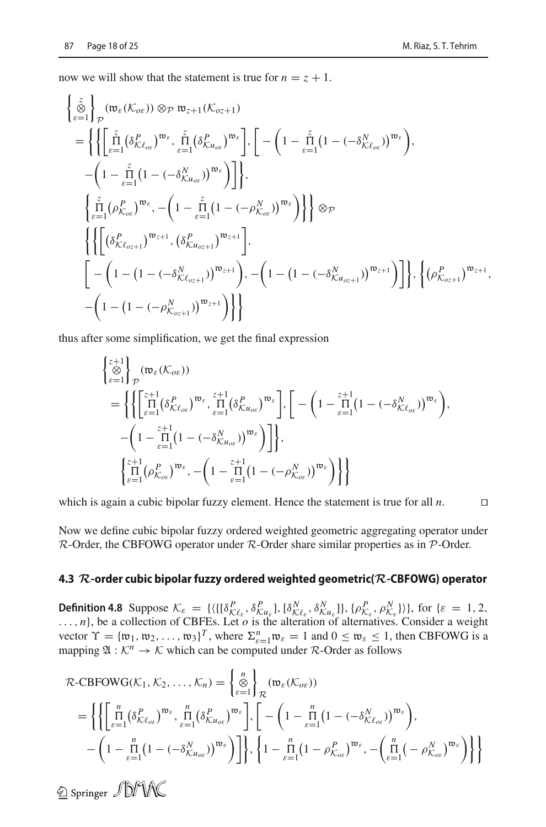now we will show that the statement is true for  $n = z + 1$ .

$$
\begin{split}\n&\left\{\sum_{\varepsilon=1}^{\tilde{\zeta}}\right\}_{\mathcal{P}}(\mathfrak{w}_{\varepsilon}(K_{o\varepsilon}))\otimes_{\mathcal{P}}\mathfrak{w}_{z+1}(K_{o z+1}) \\
&= \left\{\left\{\left[\prod_{\varepsilon=1}^{\tilde{z}}\left(\delta_{K\ell_{o\varepsilon}}^{P}\right)^{\mathfrak{w}_{\varepsilon}},\prod_{\varepsilon=1}^{\tilde{z}}\left(\delta_{K\mu_{o\varepsilon}}^{P}\right)^{\mathfrak{w}_{\varepsilon}}\right],\left[-\left(1-\prod_{\varepsilon=1}^{\tilde{z}}\left(1-(-\delta_{K\ell_{o\varepsilon}}^{N})\right)^{\mathfrak{w}_{\varepsilon}}\right),\right. \\
&\left. -\left(1-\prod_{\varepsilon=1}^{\tilde{z}}\left(1-(-\delta_{K\mu_{o\varepsilon}}^{N})\right)^{\mathfrak{w}_{\varepsilon}}\right)\right]\right\}, \\
&\left\{\sum_{\varepsilon=1}^{\tilde{z}}\left(\rho_{K_{o\varepsilon}}^{P}\right)^{\mathfrak{w}_{\varepsilon}},-\left(1-\prod_{\varepsilon=1}^{\tilde{z}}\left(1-(-\rho_{K_{o\varepsilon}}^{N})\right)^{\mathfrak{w}_{\varepsilon}}\right)\right\}\right\}\otimes_{\mathcal{P}} \\
&\left\{\left\{\left[\left(\delta_{K\ell_{o_{z+1}}}^{P}\right)^{\mathfrak{w}_{z+1}},\left(\delta_{K\mu_{o_{z+1}}}^{P}\right)^{\mathfrak{w}_{z+1}}\right],\left[-\left(1-\left(1-(-\delta_{K\mu_{o_{z+1}}}^{N})\right)^{\mathfrak{w}_{z+1}}\right)\right]\right\},\left\{\left(\rho_{K_{o_{z+1}}}^{P}\right)^{\mathfrak{w}_{z+1}},\right. \\
&\left. -\left(1-\left(1-(-\rho_{K_{o_{z+1}}}^{N})\right)^{\mathfrak{w}_{z+1}}\right)\right\}\right\}\n\end{split}
$$

thus after some simplification, we get the final expression

$$
\begin{split}\n\begin{aligned}\n\left\{\begin{matrix} z+1\\ \otimes\\ \varepsilon=1 \end{matrix}\right\}_{\mathcal{P}} (\mathfrak{w}_{\varepsilon}(\mathcal{K}_{o\varepsilon})) \\
&= \left\{ \left\{ \begin{bmatrix} z+1\\ \varepsilon=1 \end{bmatrix} (\delta_{\mathcal{K}\ell_{o\varepsilon}}^P)^{\mathfrak{w}_{\varepsilon}}, \prod_{\varepsilon=1}^{z+1} (\delta_{\mathcal{K}u_{o\varepsilon}}^P)^{\mathfrak{w}_{\varepsilon}} \right], \left[ -\left( 1 - \prod_{\varepsilon=1}^{z+1} (1 - (-\delta_{\mathcal{K}\ell_{o\varepsilon}}^N))^{\mathfrak{w}_{\varepsilon}} \right), \right. \\
&\left. -\left( 1 - \prod_{\varepsilon=1}^{z+1} (1 - (-\delta_{\mathcal{K}u_{o\varepsilon}}^N))^{\mathfrak{w}_{\varepsilon}} \right) \right] \right\}, \\
\left\{ \prod_{\varepsilon=1}^{z+1} (\rho_{\mathcal{K}_{o\varepsilon}}^P)^{\mathfrak{w}_{\varepsilon}}, -\left( 1 - \prod_{\varepsilon=1}^{z+1} (1 - (-\rho_{\mathcal{K}_{o\varepsilon}}^N))^{\mathfrak{w}_{\varepsilon}} \right) \right\} \right\}\n\end{split}
$$

which is again a cubic bipolar fuzzy element. Hence the statement is true for all *n*.

Now we define cubic bipolar fuzzy ordered weighted geometric aggregating operator under *R*-Order, the CBFOWG operator under *R*-Order share similar properties as in *P*-Order.

#### **4.3** *R***-order cubic bipolar fuzzy ordered weighted geometric(***R***-CBFOWG) operator**

**Definition 4.8** Suppose  $\mathcal{K}_{\varepsilon} = \{ \langle \{ [\delta^P_{\mathcal{K}\ell_{\varepsilon}}, \delta^P_{\mathcal{K}u_{\varepsilon}}], [\delta^N_{\mathcal{K}\ell_{\varepsilon}}, \delta^N_{\mathcal{K}u_{\varepsilon}}] \}, \{ \rho^P_{\mathcal{K}_{\varepsilon}}, \rho^N_{\mathcal{K}_{\varepsilon}} \} \rangle \},$  for  $\{\varepsilon = 1, 2, 3\}$ **EXECUTE:**  $K_{\varepsilon} = \frac{1}{10} K_{\varepsilon} e^{-\frac{1}{2} K_{\varepsilon}}$ ,  ${}^0 K_{\varepsilon} e^{-\frac{1}{2} K_{\varepsilon}}$ ,  ${}^0 K_{\varepsilon} e^{-\frac{1}{2} K_{\varepsilon}}$ ,  ${}^0 K_{\varepsilon} e^{-\frac{1}{2} K_{\varepsilon}}$ ,  ${}^0 K_{\varepsilon} e^{-\frac{1}{2} K_{\varepsilon}}$ ,  ${}^0 K_{\varepsilon} e^{-\frac{1}{2} K_{\varepsilon}}$ ,  ${}^0 K_{\varepsilon} e^{-\frac{1$ vector  $\Upsilon = {\{\mathfrak{w}_1, \mathfrak{w}_2, \ldots, \mathfrak{w}_3\}}^T$ , where  $\Sigma_{\varepsilon=1}^n \mathfrak{w}_{\varepsilon} = 1$  and  $0 \le \mathfrak{w}_{\varepsilon} \le 1$ , then CBFOWG is a mapping  $\mathfrak{A}: \mathcal{K}^n \to \mathcal{K}$  which can be computed under  $\mathcal{R}$ -Order as follows

$$
\mathcal{R}\text{-CBFOWG}(\mathcal{K}_1, \mathcal{K}_2, \dots, \mathcal{K}_n) = \left\{ \sum_{\varepsilon=1}^n \right\}_{\mathcal{R}} (\mathfrak{w}_{\varepsilon}(\mathcal{K}_{o\varepsilon}))
$$
  
\n
$$
= \left\{ \left\{ \left[ \prod_{\varepsilon=1}^n (\delta_{\mathcal{K}\ell_{o\varepsilon}}^P)^{\mathfrak{w}_{\varepsilon}}, \prod_{\varepsilon=1}^n (\delta_{\mathcal{K}u_{o\varepsilon}}^P)^{\mathfrak{w}_{\varepsilon}} \right], \left[ -\left( 1 - \prod_{\varepsilon=1}^n (1 - (-\delta_{\mathcal{K}\ell_{o\varepsilon}}^N))^{\mathfrak{w}_{\varepsilon}} \right), \right. \\ \left. - \left( 1 - \prod_{\varepsilon=1}^n (1 - (-\delta_{\mathcal{K}u_{o\varepsilon}}^N))^{\mathfrak{w}_{\varepsilon}} \right) \right] \right\}, \left\{ 1 - \prod_{\varepsilon=1}^n (1 - \rho_{\mathcal{K}_{o\varepsilon}}^P)^{\mathfrak{w}_{\varepsilon}}, -\left( \prod_{\varepsilon=1}^n (-\rho_{\mathcal{K}_{o\varepsilon}}^N)^{\mathfrak{w}_{\varepsilon}} \right) \right\} \right\}
$$

2 Springer JDMAC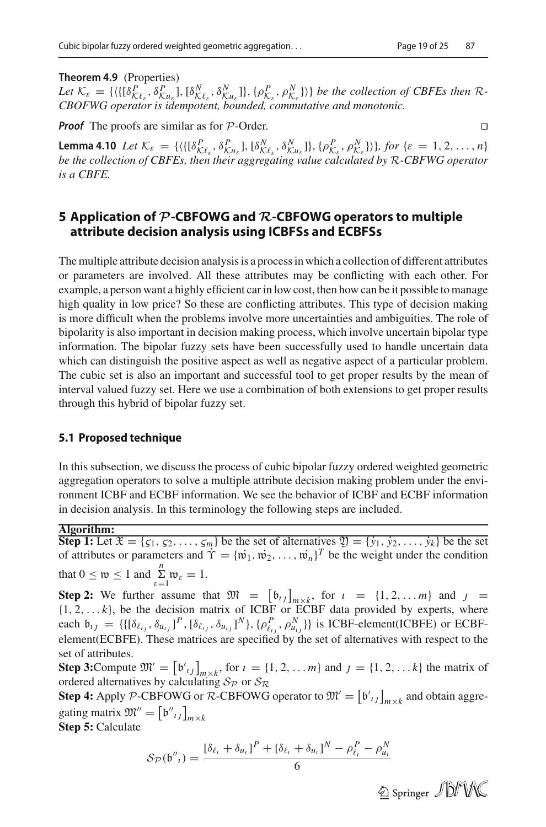#### **Theorem 4.9** (Properties)

Let  $\mathcal{K}_{\varepsilon} = \{ (\{[\delta_{R,\ell_{\varepsilon}}^P, \delta_{R,\ell_{\varepsilon}}^P], [\delta_{R,\ell_{\varepsilon}}^N, \delta_{R,\ell_{\varepsilon}}^N]\}, [\rho_{R,\ell_{\varepsilon}}^P, \rho_{R,\varepsilon}^N]\} \}$  be the collection of CBFEs then R-*CBOFWG operator is idempotent, bounded, commutative and monotonic.*

*Proof* The proofs are similar as for *<sup>P</sup>*-Order.

**Lemma 4.10** Let  $\mathcal{K}_{\varepsilon} = \{ (\{[\delta_{\mathcal{L}}^P \epsilon, \delta_{\mathcal{L}}^P u_{\varepsilon}], [\delta_{\mathcal{N}}^N \epsilon, \delta_{\mathcal{N}}^N u_{\varepsilon}]\}, \{\rho_{\mathcal{L}}^P, \rho_{\mathcal{N}}^N \epsilon, \rho_{\mathcal{N}}^N \}) \}$ , for  $\{\varepsilon = 1, 2, ..., n\}$ *be the collection of CBFEs, then their aggregating value calculated by R-CBFWG operator is a CBFE.*

## <span id="page-18-0"></span>**5 Application of** *P***-CBFOWG and** *R***-CBFOWG operators to multiple attribute decision analysis using ICBFSs and ECBFSs**

The multiple attribute decision analysis is a process in which a collection of different attributes or parameters are involved. All these attributes may be conflicting with each other. For example, a person want a highly efficient car in low cost, then how can be it possible to manage high quality in low price? So these are conflicting attributes. This type of decision making is more difficult when the problems involve more uncertainties and ambiguities. The role of bipolarity is also important in decision making process, which involve uncertain bipolar type information. The bipolar fuzzy sets have been successfully used to handle uncertain data which can distinguish the positive aspect as well as negative aspect of a particular problem. The cubic set is also an important and successful tool to get proper results by the mean of interval valued fuzzy set. Here we use a combination of both extensions to get proper results through this hybrid of bipolar fuzzy set.

### **5.1 Proposed technique**

In this subsection, we discuss the process of cubic bipolar fuzzy ordered weighted geometric aggregation operators to solve a multiple attribute decision making problem under the environment ICBF and ECBF information. We see the behavior of ICBF and ECBF information in decision analysis. In this terminology the following steps are included.

#### **Algorithm:**

**Step 1:** Let  $\mathfrak{X} = \{\zeta_1, \zeta_2, \ldots, \zeta_m\}$  be the set of alternatives  $\mathfrak{Y} = \{\dot{y}_1, \dot{y}_2, \ldots, \dot{y}_k\}$  be the set of attributes or parameters and  $\hat{\Upsilon} = {\{\hat{w}_1, \hat{w}_2, \dots, \hat{w}_n\}}^T$  be the weight under the condition that  $0 \leq w \leq 1$  and  $\sum_{\varepsilon=1}^{n} w_{\varepsilon} = 1$ .

**Step 2:** We further assume that  $\mathfrak{M} = \begin{bmatrix} b_{ij} \end{bmatrix}_{m \times k}$ , for  $i = \{1, 2, \ldots m\}$  and  $j = \{1, 2, \ldots k\}$  $\{1, 2, \ldots k\}$ , be the decision matrix of ICBF or ECBF data provided by experts, where each  $\mathfrak{b}_{ij} = \{ \{ [\delta_{\ell_{ij}}, \delta_{u_{ij}}]^P, [\delta_{\ell_{ij}}, \delta_{u_{ij}}]^N \}, \{ \rho^P_{\ell_{ij}}, \rho^N_{u_{ij}} \} \}$  is ICBF-element(ICBFE) or ECBFelement(ECBFE). These matrices are specified by the set of alternatives with respect to the set of attributes.

**Step 3:** Compute  $\mathfrak{M}' = \begin{bmatrix} b'_{ij} \end{bmatrix}_{m \times k}$ , for  $i = \{1, 2, \ldots m\}$  and  $j = \{1, 2, \ldots k\}$  the matrix of ordered alternatives by calculating  $S_p$  or  $S_R$ 

**Step 4:** Apply *P*-CBFOWG or *R*-CBFOWG operator to  $\mathfrak{M}' = [\mathfrak{b}'_{ij}]_{m \times k}$  and obtain aggregating matrix  $\mathfrak{M}^{\prime\prime} = [\mathfrak{b}^{\prime\prime}_{ij}]_{m \times k}$ 

**Step 5:** Calculate

$$
S_{\mathcal{P}}(\mathfrak{b''}_t) = \frac{[\delta_{\ell_t} + \delta_{u_t}]^P + [\delta_{\ell_t} + \delta_{u_t}]^N - \rho_{\ell_t}^P - \rho_{u_t}^N}{6}
$$

2 Springer JDMNC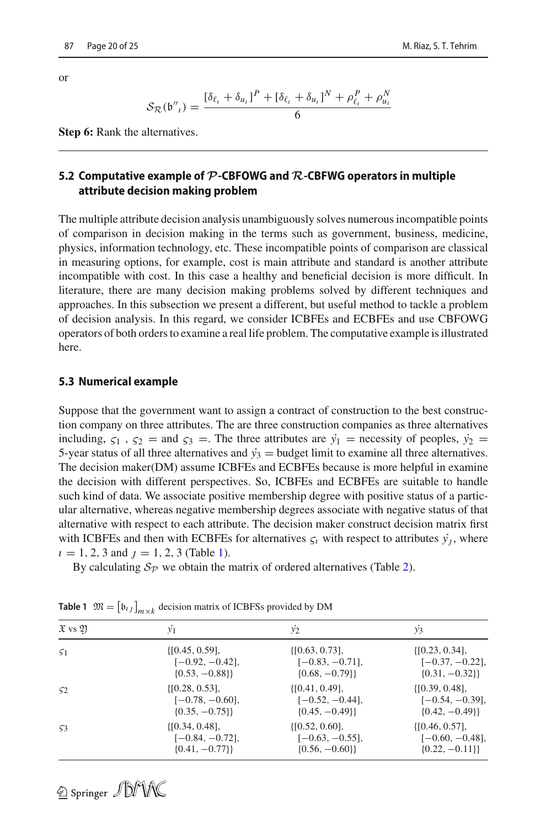or

$$
S_{\mathcal{R}}(\mathfrak{b''}_t) = \frac{[\delta_{\ell_t} + \delta_{u_t}]^P + [\delta_{\ell_t} + \delta_{u_t}]^N + \rho_{\ell_t}^P + \rho_{u_t}^N}{6}
$$

**Step 6:** Rank the alternatives.

## **5.2 Computative example of** *P***-CBFOWG and** *R***-CBFWG operators in multiple attribute decision making problem**

The multiple attribute decision analysis unambiguously solves numerous incompatible points of comparison in decision making in the terms such as government, business, medicine, physics, information technology, etc. These incompatible points of comparison are classical in measuring options, for example, cost is main attribute and standard is another attribute incompatible with cost. In this case a healthy and beneficial decision is more difficult. In literature, there are many decision making problems solved by different techniques and approaches. In this subsection we present a different, but useful method to tackle a problem of decision analysis. In this regard, we consider ICBFEs and ECBFEs and use CBFOWG operators of both orders to examine a real life problem. The computative example is illustrated here.

### **5.3 Numerical example**

Suppose that the government want to assign a contract of construction to the best construction company on three attributes. The are three construction companies as three alternatives including,  $\zeta_1$ ,  $\zeta_2$  = and  $\zeta_3$  =. The three attributes are  $\dot{y}_1$  = necessity of peoples,  $\dot{y}_2$  = 5-year status of all three alternatives and  $\dot{y}_3$  = budget limit to examine all three alternatives. The decision maker(DM) assume ICBFEs and ECBFEs because is more helpful in examine the decision with different perspectives. So, ICBFEs and ECBFEs are suitable to handle such kind of data. We associate positive membership degree with positive status of a particular alternative, whereas negative membership degrees associate with negative status of that alternative with respect to each attribute. The decision maker construct decision matrix first with ICBFEs and then with ECBFEs for alternatives  $\zeta_i$  with respect to attributes  $\dot{y_i}$ , where  $i = 1, 2, 3$  and  $j = 1, 2, 3$  (Table [1\)](#page-19-0).

By calculating  $S_p$  we obtain the matrix of ordered alternatives (Table [2\)](#page-20-0).

| $\mathfrak{X}$ vs $\mathfrak{Y}$ | $y_1$               | $y_2$               | $y_3$               |
|----------------------------------|---------------------|---------------------|---------------------|
| 51                               | $\{[0.45, 0.59],$   | $\{[0.63, 0.73],$   | $\{[0.23, 0.34],$   |
|                                  | $[-0.92, -0.42],$   | $[-0.83, -0.71],$   | $[-0.37, -0.22],$   |
|                                  | $\{0.53, -0.88\}\}$ | $\{0.68, -0.79\}\}$ | $\{0.31, -0.32\}\}$ |
| 52                               | $\{[0.28, 0.53],$   | $\{[0.41, 0.49],$   | $\{[0.39, 0.48],$   |
|                                  | $[-0.78, -0.60],$   | $[-0.52, -0.44],$   | $[-0.54, -0.39],$   |
|                                  | $\{0.35, -0.75\}\}$ | $\{0.45, -0.49\}\}$ | $\{0.42, -0.49\}\}$ |
| 53                               | $\{[0.34, 0.48],$   | $\{[0.52, 0.60],$   | $\{[0.46, 0.57],$   |
|                                  | $[-0.84, -0.72],$   | $[-0.63, -0.55],$   | $[-0.60, -0.48],$   |
|                                  | $\{0.41, -0.77\}\}$ | $\{0.56, -0.60\}\}$ | $\{0.22, -0.11\}$   |

<span id="page-19-0"></span>**Table 1**  $\mathfrak{M} = [\mathfrak{b}_{ij}]_{m \times k}$  decision matrix of ICBFSs provided by DM

2 Springer JDMX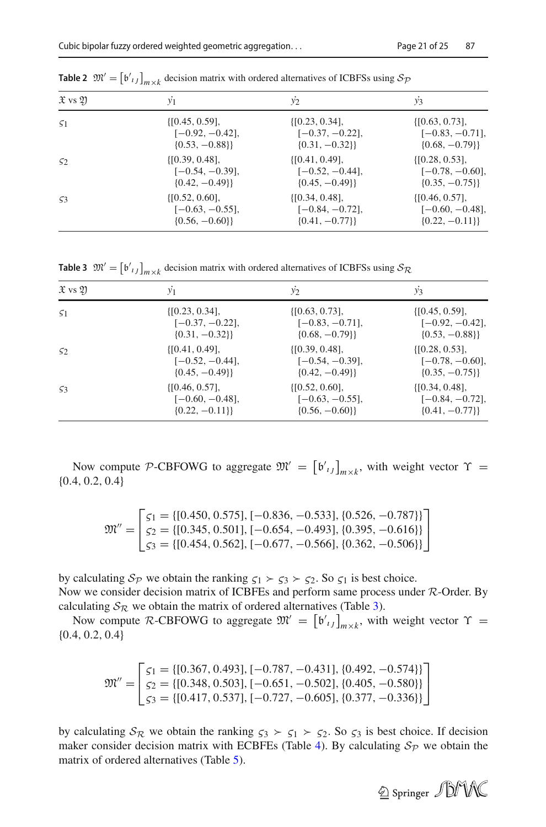| $\mathfrak{X}$ vs $\mathfrak{Y}$ | y <sub>1</sub>      | $y_2$               | $y_3$               |
|----------------------------------|---------------------|---------------------|---------------------|
| 51                               | $\{[0.45, 0.59],$   | $\{[0.23, 0.34],$   | $\{[0.63, 0.73],$   |
|                                  | $[-0.92, -0.42]$    | $[-0.37, -0.22]$    | $[-0.83, -0.71],$   |
|                                  | $\{0.53, -0.88\}\}$ | $\{0.31, -0.32\}\}$ | $\{0.68, -0.79\}\}$ |
| 52                               | $\{[0.39, 0.48],$   | $\{[0.41, 0.49],$   | $\{[0.28, 0.53],$   |
|                                  | $[-0.54, -0.39]$ ,  | $[-0.52, -0.44]$    | $[-0.78, -0.60],$   |
|                                  | $\{0.42, -0.49\}\}$ | $\{0.45, -0.49\}\}$ | $\{0.35, -0.75\}\}$ |
| 53                               | $\{[0.52, 0.60],$   | $\{[0.34, 0.48],$   | $\{[0.46, 0.57],$   |
|                                  | $[-0.63, -0.55]$ ,  | $[-0.84, -0.72]$    | $[-0.60, -0.48],$   |
|                                  | $\{0.56, -0.60\}\}$ | $\{0.41, -0.77\}\}$ | $\{0.22, -0.11\}$   |

<span id="page-20-0"></span>**Table 2**  $\mathfrak{M}' = [\mathfrak{b'}_{ij}]_{m \times k}$  decision matrix with ordered alternatives of ICBFSs using  $S_{\mathcal{P}}$ 

<span id="page-20-1"></span>**Table 3**  $\mathfrak{M}' = [\mathfrak{b'}_{ij}]_{m \times k}$  decision matrix with ordered alternatives of ICBFSs using  $\mathcal{S}_{\mathcal{R}}$ 

| $\mathfrak{X}$ vs $\mathfrak{Y}$ | $y_1$               | $y_2$               | $y_3$               |
|----------------------------------|---------------------|---------------------|---------------------|
| 51                               | $\{[0.23, 0.34],$   | $\{[0.63, 0.73],$   | $\{[0.45, 0.59],$   |
|                                  | $[-0.37, -0.22]$ ,  | $[-0.83, -0.71]$ ,  | $[-0.92, -0.42],$   |
|                                  | $\{0.31, -0.32\}\}$ | $\{0.68, -0.79\}\}$ | $\{0.53, -0.88\}\}$ |
| 52                               | $\{[0.41, 0.49],$   | $\{[0.39, 0.48],$   | $\{[0.28, 0.53],$   |
|                                  | $[-0.52, -0.44]$ ,  | $[-0.54, -0.39],$   | $[-0.78, -0.60],$   |
|                                  | $\{0.45, -0.49\}\}$ | $\{0.42, -0.49\}\}$ | $\{0.35, -0.75\}\}$ |
| 53                               | $\{[0.46, 0.57],$   | $\{[0.52, 0.60],$   | $\{[0.34, 0.48],$   |
|                                  | $[-0.60, -0.48]$ ,  | $[-0.63, -0.55],$   | $[-0.84, -0.72],$   |
|                                  | $\{0.22, -0.11\}\}$ | $\{0.56, -0.60\}\}$ | $\{0.41, -0.77\}\}$ |

Now compute *P*-CBFOWG to aggregate  $\mathfrak{M}' = [\mathfrak{b}'_{ij}]_{m \times k}$ , with weight vector  $\Upsilon =$  4.0.2.0.4) {0.4, 0.2, 0.4}

$$
\mathfrak{M}'' = \begin{bmatrix} \zeta_1 = \{ [0.450, 0.575], [-0.836, -0.533], \{ 0.526, -0.787 \} \} \\ \zeta_2 = \{ [0.345, 0.501], [-0.654, -0.493], \{ 0.395, -0.616 \} \} \\ \zeta_3 = \{ [0.454, 0.562], [-0.677, -0.566], \{ 0.362, -0.506 \} \} \end{bmatrix}
$$

by calculating  $S_p$  we obtain the ranking  $\zeta_1 \succ \zeta_3 \succ \zeta_2$ . So  $\zeta_1$  is best choice. Now we consider decision matrix of ICBFEs and perform same process under *R*-Order. By calculating  $S_R$  we obtain the matrix of ordered alternatives (Table [3\)](#page-20-1).

Now compute *R*-CBFOWG to aggregate  $\mathfrak{M}' = [\mathfrak{b'}_{ij}]_{m \times k}$ , with weight vector  $\Upsilon =$ {0.4, 0.2, 0.4}

$$
\mathfrak{M}'' = \begin{bmatrix} \zeta_1 = \{ [0.367, 0.493], [-0.787, -0.431], \{ 0.492, -0.574 \} \} \\ \zeta_2 = \{ [0.348, 0.503], [-0.651, -0.502], \{ 0.405, -0.580 \} \} \\ \zeta_3 = \{ [0.417, 0.537], [-0.727, -0.605], \{ 0.377, -0.336 \} \} \end{bmatrix}
$$

by calculating  $S_R$  we obtain the ranking  $\zeta_3 \succ \zeta_1 \succ \zeta_2$ . So  $\zeta_3$  is best choice. If decision maker consider decision matrix with ECBFEs (Table [4\)](#page-21-0). By calculating  $S_p$  we obtain the matrix of ordered alternatives (Table [5\)](#page-21-1).

2 Springer JDMX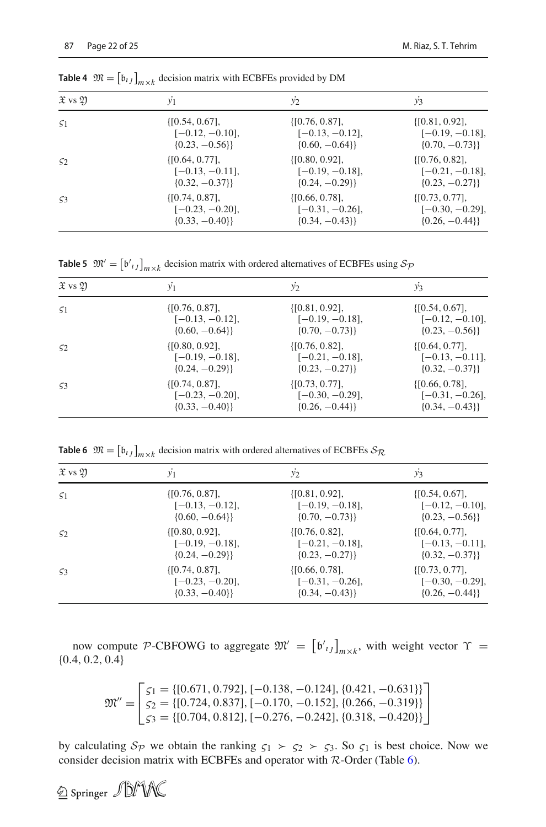| $\mathfrak{X}$ vs $\mathfrak{Y}$ | $y_1$               | $y_2$               | $y_3$               |
|----------------------------------|---------------------|---------------------|---------------------|
| $\varsigma_1$                    | $\{[0.54, 0.67],$   | $\{[0.76, 0.87],$   | $\{[0.81, 0.92],$   |
|                                  | $[-0.12, -0.10],$   | $[-0.13, -0.12],$   | $[-0.19, -0.18],$   |
|                                  | $\{0.23, -0.56\}\}$ | $\{0.60, -0.64\}\}$ | $\{0.70, -0.73\}\}$ |
| 52                               | $\{[0.64, 0.77],$   | $\{[0.80, 0.92],$   | $\{[0.76, 0.82],$   |
|                                  | $[-0.13, -0.11]$ ,  | $[-0.19, -0.18]$    | $[-0.21, -0.18],$   |
|                                  | $\{0.32, -0.37\}\}$ | $\{0.24, -0.29\}\}$ | $\{0.23, -0.27\}\}$ |
| 53                               | $\{[0.74, 0.87],$   | $\{[0.66, 0.78],$   | $\{[0.73, 0.77],$   |
|                                  | $[-0.23, -0.20]$ ,  | $[-0.31, -0.26],$   | $[-0.30, -0.29]$ ,  |
|                                  | $\{0.33, -0.40\}\}$ | $\{0.34, -0.43\}$   | $\{0.26, -0.44\}\}$ |

<span id="page-21-0"></span>**Table 4**  $\mathfrak{M} = \left[ \mathfrak{b}_{ij} \right]_{m \times k}$  decision matrix with ECBFEs provided by DM

<span id="page-21-1"></span>**Table 5**  $\mathfrak{M}' = [\mathfrak{b'}_{ij}]_{m \times k}$  decision matrix with ordered alternatives of ECBFEs using  $\mathcal{S}_{\mathcal{P}}$ 

| $\mathfrak{X}$ vs $\mathfrak{Y}$ | $y_1$               | $y_2$               | $y_3$               |
|----------------------------------|---------------------|---------------------|---------------------|
| 51                               | $\{[0.76, 0.87],$   | $\{[0.81, 0.92],$   | $\{[0.54, 0.67],$   |
|                                  | $[-0.13, -0.12]$ ,  | $[-0.19, -0.18]$ ,  | $[-0.12, -0.10],$   |
|                                  | $\{0.60, -0.64\}\}$ | $\{0.70, -0.73\}\}$ | $\{0.23, -0.56\}\}$ |
| 52                               | $\{[0.80, 0.92],\}$ | $\{[0.76, 0.82],$   | $\{[0.64, 0.77],\}$ |
|                                  | $[-0.19, -0.18]$ ,  | $[-0.21, -0.18],$   | $[-0.13, -0.11],$   |
|                                  | $\{0.24, -0.29\}\}$ | $\{0.23, -0.27\}\$  | $\{0.32, -0.37\}\}$ |
| 53                               | $\{[0.74, 0.87],$   | $\{[0.73, 0.77],$   | $\{[0.66, 0.78],$   |
|                                  | $[-0.23, -0.20],$   | $[-0.30, -0.29]$ ,  | $[-0.31, -0.26],$   |
|                                  | $\{0.33, -0.40\}\}$ | $\{0.26, -0.44\}\}$ | $\{0.34, -0.43\}\}$ |

**Table 6**  $\mathfrak{M} = \begin{bmatrix} \mathfrak{b}_{ij} \end{bmatrix}_{m \times k}$  decision matrix with ordered alternatives of ECBFEs  $\mathcal{S}_{\mathcal{R}}$ 

<span id="page-21-2"></span>

| $\mathfrak{X}$ vs $\mathfrak{Y}$ | $y_1$               | $y_2$               | $y_3$               |
|----------------------------------|---------------------|---------------------|---------------------|
| 51                               | $\{[0.76, 0.87],$   | $\{[0.81, 0.92],$   | $\{[0.54, 0.67],$   |
|                                  | $[-0.13, -0.12],$   | $[-0.19, -0.18],$   | $[-0.12, -0.10],$   |
|                                  | $\{0.60, -0.64\}\}$ | $\{0.70, -0.73\}\}$ | $\{0.23, -0.56\}\}$ |
| 52                               | $\{[0.80, 0.92],\}$ | $\{[0.76, 0.82],$   | $\{[0.64, 0.77],$   |
|                                  | $[-0.19, -0.18],$   | $[-0.21, -0.18],$   | $[-0.13, -0.11],$   |
|                                  | $\{0.24, -0.29\}\}$ | $\{0.23, -0.27\}\}$ | $\{0.32, -0.37\}\}$ |
| 53                               | $\{[0.74, 0.87],$   | $\{[0.66, 0.78],$   | $\{[0.73, 0.77],$   |
|                                  | $[-0.23, -0.20],$   | $[-0.31, -0.26],$   | $[-0.30, -0.29],$   |
|                                  | $\{0.33, -0.40\}\}$ | $\{0.34, -0.43\}\}$ | $\{0.26, -0.44\}\}$ |

now compute *P*-CBFOWG to aggregate  $\mathfrak{M}' = [\mathfrak{b}'_{ij}]_{m \times k}$ , with weight vector  $\Upsilon =$  ${0.4, 0.2, 0.4}$ 

$$
\mathfrak{M}'' = \begin{bmatrix} \zeta_1 = \{ [0.671, 0.792], [-0.138, -0.124], \{ 0.421, -0.631 \} \} \\ \zeta_2 = \{ [0.724, 0.837], [-0.170, -0.152], \{ 0.266, -0.319 \} \} \\ \zeta_3 = \{ [0.704, 0.812], [-0.276, -0.242], \{ 0.318, -0.420 \} \} \end{bmatrix}
$$

by calculating  $S_p$  we obtain the ranking  $\zeta_1 \succ \zeta_2 \succ \zeta_3$ . So  $\zeta_1$  is best choice. Now we consider decision matrix with ECBFEs and operator with *R*-Order (Table [6\)](#page-21-2).

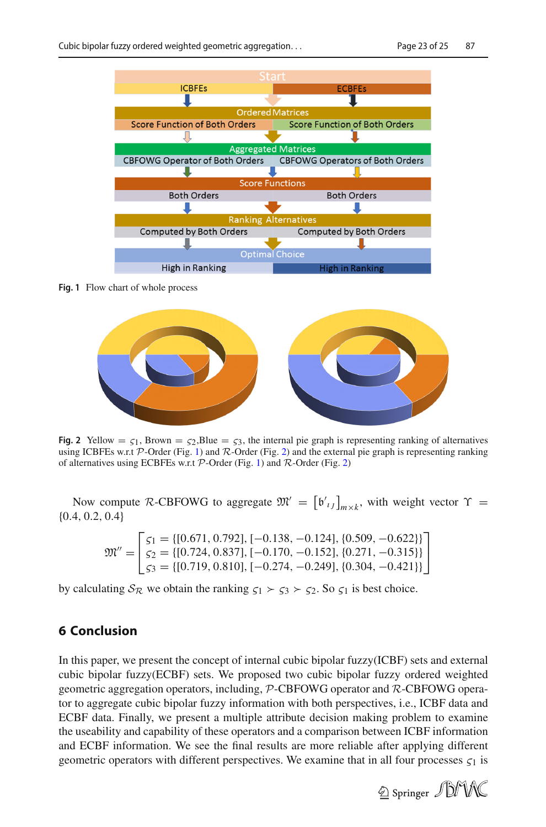

<span id="page-22-1"></span>**Fig. 1** Flow chart of whole process



<span id="page-22-2"></span>**Fig. 2** Yellow =  $\zeta_1$ , Brown =  $\zeta_2$ , Blue =  $\zeta_3$ , the internal pie graph is representing ranking of alternatives using ICBFEs w.r.t *P*-Order (Fig. [1\)](#page-22-1) and *R*-Order (Fig. [2\)](#page-22-2) and the external pie graph is representing ranking of alternatives using ECBFEs w.r.t *P*-Order (Fig. [1\)](#page-22-1) and *R*-Order (Fig. [2\)](#page-22-2)

Now compute *R*-CBFOWG to aggregate  $\mathfrak{M}' = [\mathfrak{b}'_{ij}]_{m \times k}$ , with weight vector  $\Upsilon =$  4.0.2.0.4) {0.4, 0.2, 0.4}

$$
\mathfrak{M}'' = \begin{bmatrix} \zeta_1 = \{ [0.671, 0.792], [-0.138, -0.124], \{ 0.509, -0.622 \} \} \\ \zeta_2 = \{ [0.724, 0.837], [-0.170, -0.152], \{ 0.271, -0.315 \} \} \\ \zeta_3 = \{ [0.719, 0.810], [-0.274, -0.249], \{ 0.304, -0.421 \} \} \end{bmatrix}
$$

by calculating  $S_R$  we obtain the ranking  $\zeta_1 \succ \zeta_3 \succ \zeta_2$ . So  $\zeta_1$  is best choice.

## <span id="page-22-0"></span>**6 Conclusion**

In this paper, we present the concept of internal cubic bipolar fuzzy(ICBF) sets and external cubic bipolar fuzzy(ECBF) sets. We proposed two cubic bipolar fuzzy ordered weighted geometric aggregation operators, including, *P*-CBFOWG operator and *R*-CBFOWG operator to aggregate cubic bipolar fuzzy information with both perspectives, i.e., ICBF data and ECBF data. Finally, we present a multiple attribute decision making problem to examine the useability and capability of these operators and a comparison between ICBF information and ECBF information. We see the final results are more reliable after applying different geometric operators with different perspectives. We examine that in all four processes  $\zeta_1$  is

2 Springer JDMAC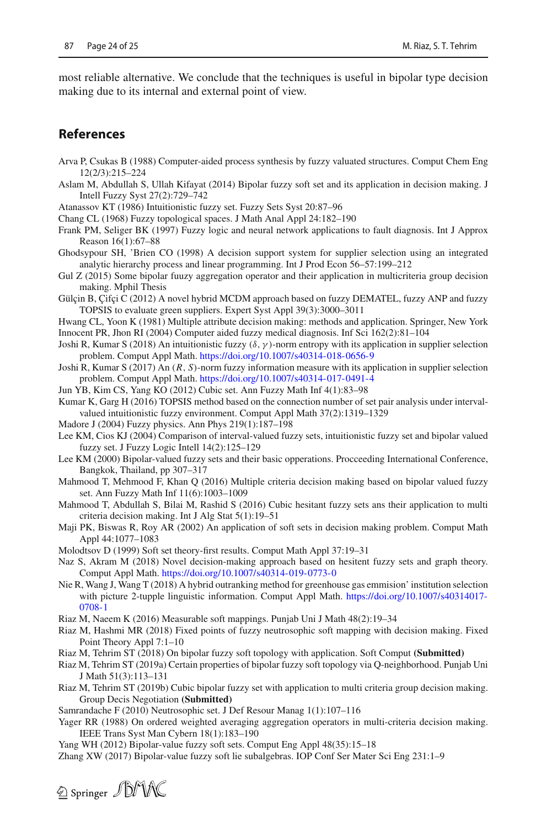most reliable alternative. We conclude that the techniques is useful in bipolar type decision making due to its internal and external point of view.

## **References**

- Arva P, Csukas B (1988) Computer-aided process synthesis by fuzzy valuated structures. Comput Chem Eng 12(2/3):215–224
- <span id="page-23-9"></span>Aslam M, Abdullah S, Ullah Kifayat (2014) Bipolar fuzzy soft set and its application in decision making. J Intell Fuzzy Syst 27(2):729–742
- <span id="page-23-3"></span>Atanassov KT (1986) Intuitionistic fuzzy set. Fuzzy Sets Syst 20:87–96
- Chang CL (1968) Fuzzy topological spaces. J Math Anal Appl 24:182–190
- <span id="page-23-0"></span>Frank PM, Seliger BK (1997) Fuzzy logic and neural network applications to fault diagnosis. Int J Approx Reason 16(1):67–88
- <span id="page-23-11"></span>Ghodsypour SH, 'Brien CO (1998) A decision support system for supplier selection using an integrated analytic hierarchy process and linear programming. Int J Prod Econ 56–57:199–212
- Gul Z (2015) Some bipolar fuuzy aggregation operator and their application in multicriteria group decision making. Mphil Thesis
- <span id="page-23-12"></span>Gülçin B, Çifçi C (2012) A novel hybrid MCDM approach based on fuzzy DEMATEL, fuzzy ANP and fuzzy TOPSIS to evaluate green suppliers. Expert Syst Appl 39(3):3000–3011
- <span id="page-23-13"></span>Hwang CL, Yoon K (1981) Multiple attribute decision making: methods and application. Springer, New York Innocent PR, Jhon RI (2004) Computer aided fuzzy medical diagnosis. Inf Sci 162(2):81–104
- <span id="page-23-2"></span>Joshi R, Kumar S (2018) An intuitionistic fuzzy ( $\delta$ ,  $\gamma$ )-norm entropy with its application in supplier selection problem. Comput Appl Math. <https://doi.org/10.1007/s40314-018-0656-9>
- Joshi R, Kumar S (2017) An (*R*, *S*)-norm fuzzy information measure with its application in supplier selection problem. Comput Appl Math. <https://doi.org/10.1007/s40314-017-0491-4>
- <span id="page-23-10"></span>Jun YB, Kim CS, Yang KO (2012) Cubic set. Ann Fuzzy Math Inf 4(1):83–98
- Kumar K, Garg H (2016) TOPSIS method based on the connection number of set pair analysis under intervalvalued intuitionistic fuzzy environment. Comput Appl Math 37(2):1319–1329
- <span id="page-23-1"></span>Madore J (2004) Fuzzy physics. Ann Phys 219(1):187–198
- <span id="page-23-8"></span>Lee KM, Cios KJ (2004) Comparison of interval-valued fuzzy sets, intuitionistic fuzzy set and bipolar valued fuzzy set. J Fuzzy Logic Intell 14(2):125–129
- <span id="page-23-7"></span>Lee KM (2000) Bipolar-valued fuzzy sets and their basic opperations. Procceeding International Conference, Bangkok, Thailand, pp 307–317
- Mahmood T, Mehmood F, Khan Q (2016) Multiple criteria decision making based on bipolar valued fuzzy set. Ann Fuzzy Math Inf 11(6):1003–1009
- Mahmood T, Abdullah S, Bilai M, Rashid S (2016) Cubic hesitant fuzzy sets ans their application to multi criteria decision making. Int J Alg Stat 5(1):19–51
- Maji PK, Biswas R, Roy AR (2002) An application of soft sets in decision making problem. Comput Math Appl 44:1077–1083
- <span id="page-23-6"></span>Molodtsov D (1999) Soft set theory-first results. Comput Math Appl 37:19–31
- Naz S, Akram M (2018) Novel decision-making approach based on hesitent fuzzy sets and graph theory. Comput Appl Math. <https://doi.org/10.1007/s40314-019-0773-0>
- Nie R, Wang J, Wang T (2018) A hybrid outranking method for greenhouse gas emmision' institution selection with picture 2-tupple linguistic information. Comput Appl Math. [https://doi.org/10.1007/s40314017-](https://doi.org/10.1007/s40314017-0708-1) [0708-1](https://doi.org/10.1007/s40314017-0708-1)
- Riaz M, Naeem K (2016) Measurable soft mappings. Punjab Uni J Math 48(2):19–34
- Riaz M, Hashmi MR (2018) Fixed points of fuzzy neutrosophic soft mapping with decision making. Fixed Point Theory Appl 7:1–10
- Riaz M, Tehrim ST (2018) On bipolar fuzzy soft topology with application. Soft Comput **(Submitted)**
- <span id="page-23-16"></span>Riaz M, Tehrim ST (2019a) Certain properties of bipolar fuzzy soft topology via Q-neighborhood. Punjab Uni J Math 51(3):113–131
- <span id="page-23-14"></span>Riaz M, Tehrim ST (2019b) Cubic bipolar fuzzy set with application to multi criteria group decision making. Group Decis Negotiation **(Submitted)**
- <span id="page-23-5"></span>Samrandache F (2010) Neutrosophic set. J Def Resour Manag 1(1):107–116
- <span id="page-23-15"></span>Yager RR (1988) On ordered weighted averaging aggregation operators in multi-criteria decision making. IEEE Trans Syst Man Cybern 18(1):183–190
- Yang WH (2012) Bipolar-value fuzzy soft sets. Comput Eng Appl 48(35):15–18
- <span id="page-23-4"></span>Zhang XW (2017) Bipolar-value fuzzy soft lie subalgebras. IOP Conf Ser Mater Sci Eng 231:1–9